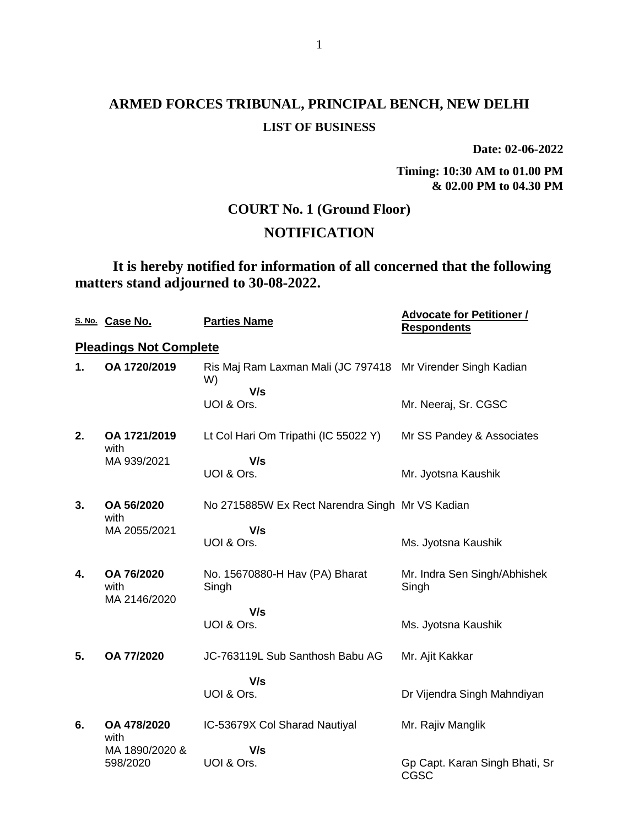**Date: 02-06-2022**

**Timing: 10:30 AM to 01.00 PM & 02.00 PM to 04.30 PM**

## **COURT No. 1 (Ground Floor)**

## **NOTIFICATION**

**It is hereby notified for information of all concerned that the following matters stand adjourned to 30-08-2022.**

|    | S. No. Case No.               | <b>Parties Name</b>                                               | <b>Advocate for Petitioner /</b><br><b>Respondents</b> |
|----|-------------------------------|-------------------------------------------------------------------|--------------------------------------------------------|
|    | <b>Pleadings Not Complete</b> |                                                                   |                                                        |
| 1. | OA 1720/2019                  | Ris Maj Ram Laxman Mali (JC 797418 Mr Virender Singh Kadian<br>W) |                                                        |
|    |                               | V/s<br>UOI & Ors.                                                 | Mr. Neeraj, Sr. CGSC                                   |
| 2. | OA 1721/2019<br>with          | Lt Col Hari Om Tripathi (IC 55022 Y)                              | Mr SS Pandey & Associates                              |
|    | MA 939/2021                   | V/s<br>UOI & Ors.                                                 | Mr. Jyotsna Kaushik                                    |
| 3. | OA 56/2020<br>with            | No 2715885W Ex Rect Narendra Singh Mr VS Kadian                   |                                                        |
|    | MA 2055/2021                  | V/s<br>UOI & Ors.                                                 | Ms. Jyotsna Kaushik                                    |
| 4. | OA 76/2020<br>with            | No. 15670880-H Hav (PA) Bharat<br>Singh                           | Mr. Indra Sen Singh/Abhishek<br>Singh                  |
|    | MA 2146/2020                  | V/s                                                               |                                                        |
|    |                               | UOI & Ors.                                                        | Ms. Jyotsna Kaushik                                    |
| 5. | OA 77/2020                    | JC-763119L Sub Santhosh Babu AG                                   | Mr. Ajit Kakkar                                        |
|    |                               | V/s<br>UOI & Ors.                                                 | Dr Vijendra Singh Mahndiyan                            |
| 6. | OA 478/2020<br>with           | IC-53679X Col Sharad Nautiyal                                     | Mr. Rajiv Manglik                                      |
|    | MA 1890/2020 &<br>598/2020    | V/s<br>UOI & Ors.                                                 | Gp Capt. Karan Singh Bhati, Sr<br>CGSC                 |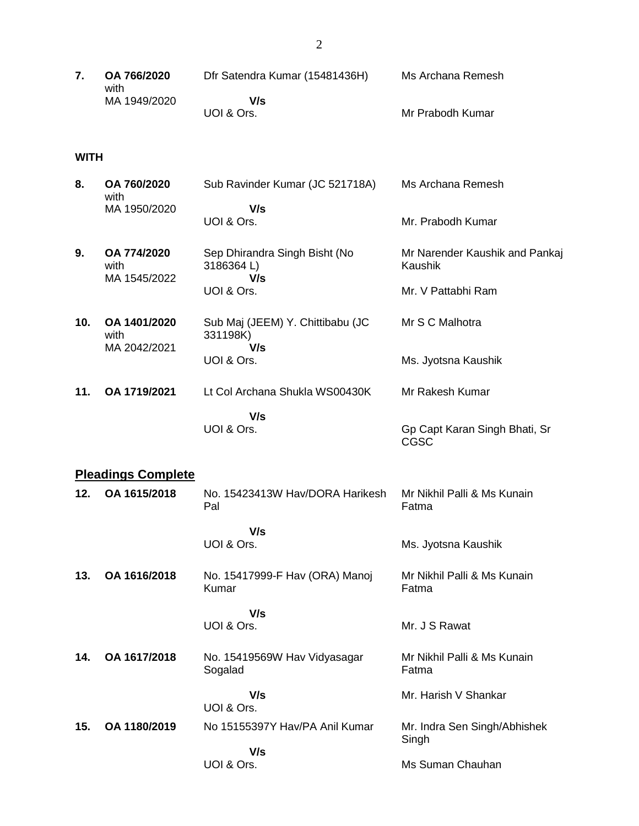|  | OA 766/2020<br>with | Dfr Satendra Kumar (15481436H) | Ms Archana Remesh |
|--|---------------------|--------------------------------|-------------------|
|  | MA 1949/2020        | V/s                            |                   |
|  |                     | UOI & Ors.                     | Mr Prabodh Kumar  |

#### **WITH**

| 8.  | OA 760/2020<br>with                  | Sub Ravinder Kumar (JC 521718A)                     | Ms Archana Remesh                            |
|-----|--------------------------------------|-----------------------------------------------------|----------------------------------------------|
|     | MA 1950/2020                         | V/s<br>UOI & Ors.                                   | Mr. Prabodh Kumar                            |
| 9.  | OA 774/2020<br>with                  | Sep Dhirandra Singh Bisht (No<br>3186364L)          | Mr Narender Kaushik and Pankaj<br>Kaushik    |
|     | MA 1545/2022                         | V/s<br>UOI & Ors.                                   | Mr. V Pattabhi Ram                           |
| 10. | OA 1401/2020<br>with<br>MA 2042/2021 | Sub Maj (JEEM) Y. Chittibabu (JC<br>331198K)<br>V/s | Mr S C Malhotra                              |
|     |                                      | UOI & Ors.                                          | Ms. Jyotsna Kaushik                          |
| 11. | OA 1719/2021                         | Lt Col Archana Shukla WS00430K                      | Mr Rakesh Kumar                              |
|     |                                      | V/s                                                 |                                              |
|     |                                      | UOI & Ors.                                          | Gp Capt Karan Singh Bhati, Sr<br><b>CGSC</b> |
|     | <b>Pleadings Complete</b>            |                                                     |                                              |
| 12. | OA 1615/2018                         | No. 15423413W Hav/DORA Harikesh<br>Pal              | Mr Nikhil Palli & Ms Kunain<br>Fatma         |
|     |                                      | V/s                                                 |                                              |

 **V/s** UOI & Ors.

**13. OA 1616/2018** No. 15417999-F Hav (ORA) Manoj Kumar Mr Nikhil Palli & Ms Kunain Fatma

Ms. Jyotsna Kaushik

Mr. J S Rawat

 **V/s** UOI & Ors.

**14. OA 1617/2018** No. 15419569W Hav Vidyasagar Sogalad  **V/s** Mr Nikhil Palli & Ms Kunain Fatma

UOI & Ors. Mr. Harish V Shankar **15. OA 1180/2019** No 15155397Y Hav/PA Anil Kumar  **V/s** UOI & Ors. Mr. Indra Sen Singh/Abhishek Singh Ms Suman Chauhan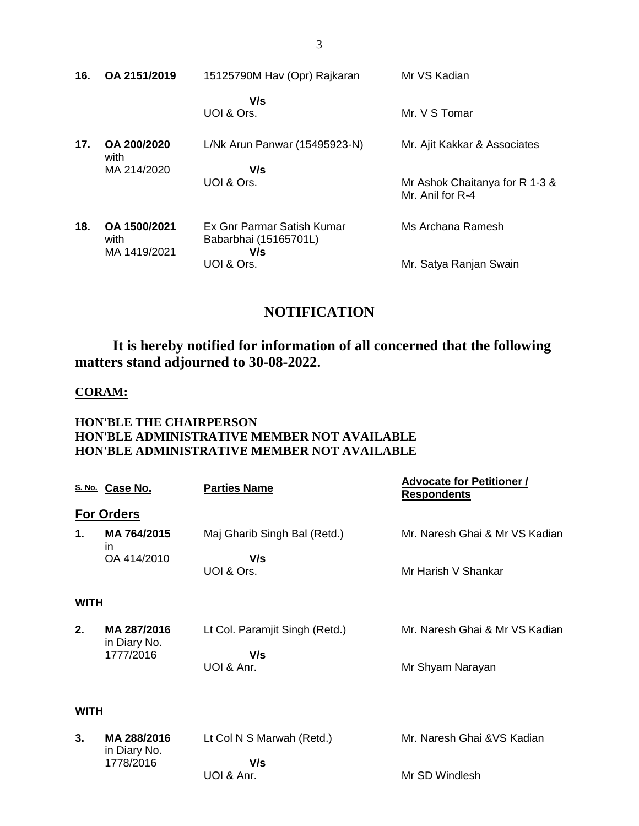| 16. | OA 2151/2019                         | 15125790M Hav (Opr) Rajkaran                               | Mr VS Kadian                                       |
|-----|--------------------------------------|------------------------------------------------------------|----------------------------------------------------|
|     |                                      | V/s<br>UOI & Ors.                                          | Mr. V S Tomar                                      |
| 17. | OA 200/2020<br>with                  | L/Nk Arun Panwar (15495923-N)                              | Mr. Ajit Kakkar & Associates                       |
|     | MA 214/2020                          | V/s<br>UOI & Ors.                                          | Mr Ashok Chaitanya for R 1-3 &<br>Mr. Anil for R-4 |
| 18. | OA 1500/2021<br>with<br>MA 1419/2021 | Ex Gnr Parmar Satish Kumar<br>Babarbhai (15165701L)<br>V/s | Ms Archana Ramesh                                  |
|     |                                      | UOI & Ors.                                                 | Mr. Satya Ranjan Swain                             |

# **NOTIFICATION**

**It is hereby notified for information of all concerned that the following matters stand adjourned to 30-08-2022.**

### **CORAM:**

### **HON'BLE THE CHAIRPERSON HON'BLE ADMINISTRATIVE MEMBER NOT AVAILABLE HON'BLE ADMINISTRATIVE MEMBER NOT AVAILABLE**

|             | S. No. Case No.                   | <b>Parties Name</b>                 | <b>Advocate for Petitioner /</b><br><b>Respondents</b> |
|-------------|-----------------------------------|-------------------------------------|--------------------------------------------------------|
|             | <b>For Orders</b>                 |                                     |                                                        |
| 1.          | MA 764/2015<br>in.<br>OA 414/2010 | Maj Gharib Singh Bal (Retd.)<br>V/s | Mr. Naresh Ghai & Mr VS Kadian                         |
|             |                                   | UOI & Ors.                          | Mr Harish V Shankar                                    |
| <b>WITH</b> |                                   |                                     |                                                        |
| 2.          | MA 287/2016<br>in Diary No.       | Lt Col. Paramjit Singh (Retd.)      | Mr. Naresh Ghai & Mr VS Kadian                         |
|             | 1777/2016                         | V/s                                 |                                                        |
|             |                                   | UOI & Anr.                          | Mr Shyam Narayan                                       |
| <b>WITH</b> |                                   |                                     |                                                        |
| 3.          | MA 288/2016<br>in Diary No.       | Lt Col N S Marwah (Retd.)           | Mr. Naresh Ghai & VS Kadian                            |
|             | 1778/2016                         | V/s                                 |                                                        |
|             |                                   | UOI & Anr.                          | Mr SD Windlesh                                         |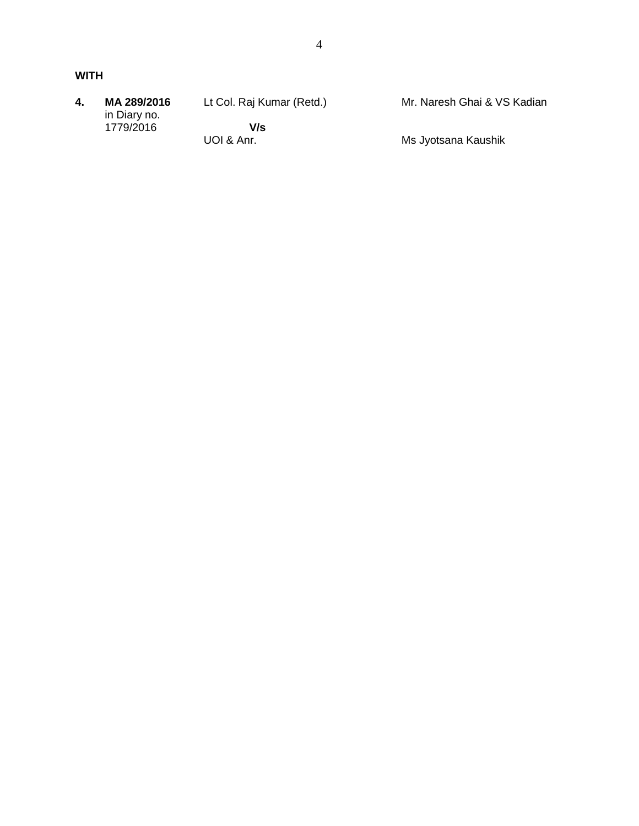| 4. | MA 289/2016<br>in Diary no. | Lt Col. Raj Kumar (Retd.) | Mr. Naresh Ghai & VS Kadian |
|----|-----------------------------|---------------------------|-----------------------------|
|    | 1779/2016                   | V/s                       |                             |
|    |                             | UOI & Anr.                | Ms Jyotsana Kaushik         |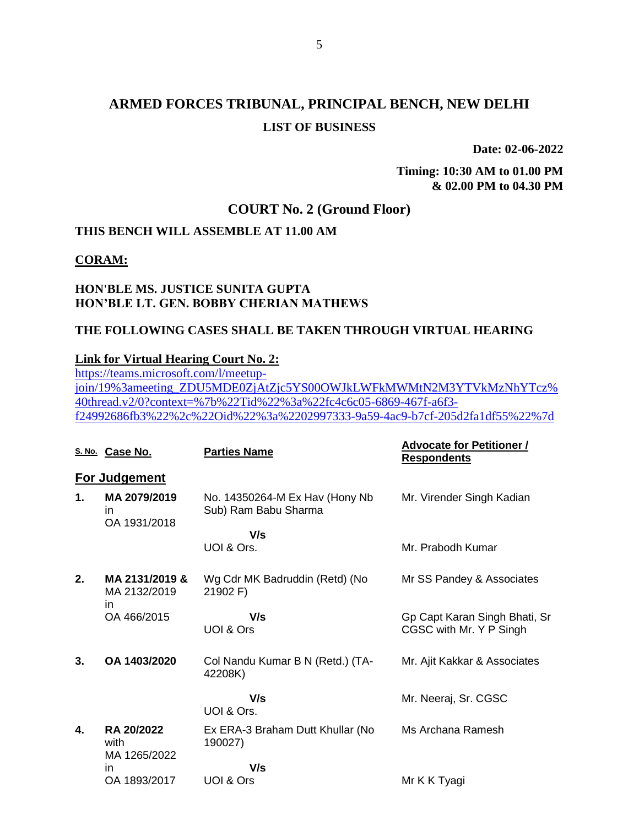**Date: 02-06-2022**

**Timing: 10:30 AM to 01.00 PM & 02.00 PM to 04.30 PM**

## **COURT No. 2 (Ground Floor)**

## **THIS BENCH WILL ASSEMBLE AT 11.00 AM**

### **CORAM:**

### **HON'BLE MS. JUSTICE SUNITA GUPTA HON'BLE LT. GEN. BOBBY CHERIAN MATHEWS**

### **THE FOLLOWING CASES SHALL BE TAKEN THROUGH VIRTUAL HEARING**

### **Link for Virtual Hearing Court No. 2:**

[https://teams.microsoft.com/l/meetup](https://teams.microsoft.com/l/meetup-join/19%3ameeting_ZDU5MDE0ZjAtZjc5YS00OWJkLWFkMWMtN2M3YTVkMzNhYTcz%40thread.v2/0?context=%7b%22Tid%22%3a%22fc4c6c05-6869-467f-a6f3-f24992686fb3%22%2c%22Oid%22%3a%2202997333-9a59-4ac9-b7cf-205d2fa1df55%22%7d)[join/19%3ameeting\\_ZDU5MDE0ZjAtZjc5YS00OWJkLWFkMWMtN2M3YTVkMzNhYTcz%](https://teams.microsoft.com/l/meetup-join/19%3ameeting_ZDU5MDE0ZjAtZjc5YS00OWJkLWFkMWMtN2M3YTVkMzNhYTcz%40thread.v2/0?context=%7b%22Tid%22%3a%22fc4c6c05-6869-467f-a6f3-f24992686fb3%22%2c%22Oid%22%3a%2202997333-9a59-4ac9-b7cf-205d2fa1df55%22%7d) [40thread.v2/0?context=%7b%22Tid%22%3a%22fc4c6c05-6869-467f-a6f3](https://teams.microsoft.com/l/meetup-join/19%3ameeting_ZDU5MDE0ZjAtZjc5YS00OWJkLWFkMWMtN2M3YTVkMzNhYTcz%40thread.v2/0?context=%7b%22Tid%22%3a%22fc4c6c05-6869-467f-a6f3-f24992686fb3%22%2c%22Oid%22%3a%2202997333-9a59-4ac9-b7cf-205d2fa1df55%22%7d) [f24992686fb3%22%2c%22Oid%22%3a%2202997333-9a59-4ac9-b7cf-205d2fa1df55%22%7d](https://teams.microsoft.com/l/meetup-join/19%3ameeting_ZDU5MDE0ZjAtZjc5YS00OWJkLWFkMWMtN2M3YTVkMzNhYTcz%40thread.v2/0?context=%7b%22Tid%22%3a%22fc4c6c05-6869-467f-a6f3-f24992686fb3%22%2c%22Oid%22%3a%2202997333-9a59-4ac9-b7cf-205d2fa1df55%22%7d)

|    | S. No. Case No.                      | <b>Parties Name</b>                                    | <b>Advocate for Petitioner /</b><br><b>Respondents</b>   |
|----|--------------------------------------|--------------------------------------------------------|----------------------------------------------------------|
|    | For Judgement                        |                                                        |                                                          |
| 1. | MA 2079/2019<br>in<br>OA 1931/2018   | No. 14350264-M Ex Hav (Hony Nb<br>Sub) Ram Babu Sharma | Mr. Virender Singh Kadian                                |
|    |                                      | V/s<br>UOI & Ors.                                      | Mr. Prabodh Kumar                                        |
| 2. | MA 2131/2019 &<br>MA 2132/2019<br>in | Wg Cdr MK Badruddin (Retd) (No<br>21902 F)             | Mr SS Pandey & Associates                                |
|    | OA 466/2015                          | V/s<br>UOI & Ors                                       | Gp Capt Karan Singh Bhati, Sr<br>CGSC with Mr. Y P Singh |
| 3. | OA 1403/2020                         | Col Nandu Kumar B N (Retd.) (TA-<br>42208K)            | Mr. Ajit Kakkar & Associates                             |
|    |                                      | V/s<br>UOI & Ors.                                      | Mr. Neeraj, Sr. CGSC                                     |
| 4. | RA 20/2022<br>with<br>MA 1265/2022   | Ex ERA-3 Braham Dutt Khullar (No<br>190027)            | Ms Archana Ramesh                                        |
|    | in                                   | V/s                                                    |                                                          |
|    | OA 1893/2017                         | UOI & Ors                                              | Mr K K Tyagi                                             |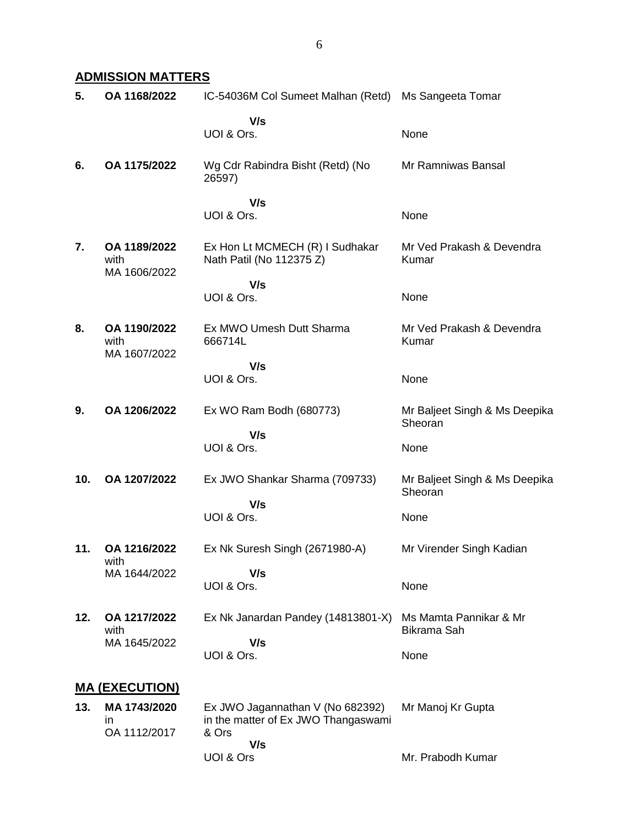### **ADMISSION MATTERS**

| 5.  | OA 1168/2022                         | IC-54036M Col Sumeet Malhan (Retd) Ms Sangeeta Tomar                                    |                                          |
|-----|--------------------------------------|-----------------------------------------------------------------------------------------|------------------------------------------|
|     |                                      | V/s<br>UOI & Ors.                                                                       | None                                     |
| 6.  | OA 1175/2022                         | Wg Cdr Rabindra Bisht (Retd) (No<br>26597)                                              | Mr Ramniwas Bansal                       |
|     |                                      | V/s<br>UOI & Ors.                                                                       | None                                     |
| 7.  | OA 1189/2022<br>with<br>MA 1606/2022 | Ex Hon Lt MCMECH (R) I Sudhakar<br>Nath Patil (No 112375 Z)                             | Mr Ved Prakash & Devendra<br>Kumar       |
|     |                                      | V/s<br>UOI & Ors.                                                                       | None                                     |
| 8.  | OA 1190/2022<br>with<br>MA 1607/2022 | Ex MWO Umesh Dutt Sharma<br>666714L                                                     | Mr Ved Prakash & Devendra<br>Kumar       |
|     |                                      | V/s<br>UOI & Ors.                                                                       | None                                     |
| 9.  | OA 1206/2022                         | Ex WO Ram Bodh (680773)                                                                 | Mr Baljeet Singh & Ms Deepika<br>Sheoran |
|     |                                      | V/s<br>UOI & Ors.                                                                       | None                                     |
| 10. | OA 1207/2022                         | Ex JWO Shankar Sharma (709733)                                                          | Mr Baljeet Singh & Ms Deepika<br>Sheoran |
|     |                                      | V/s<br>UOI & Ors.                                                                       | None                                     |
| 11. | OA 1216/2022<br>with                 | Ex Nk Suresh Singh (2671980-A)                                                          | Mr Virender Singh Kadian                 |
|     | MA 1644/2022                         | V/s<br>UOI & Ors.                                                                       | None                                     |
| 12. | OA 1217/2022<br>with                 | Ex Nk Janardan Pandey (14813801-X)                                                      | Ms Mamta Pannikar & Mr<br>Bikrama Sah    |
|     | MA 1645/2022                         | V/s<br>UOI & Ors.                                                                       | None                                     |
|     | <b>MA (EXECUTION)</b>                |                                                                                         |                                          |
| 13. | MA 1743/2020<br>ın<br>OA 1112/2017   | Ex JWO Jagannathan V (No 682392)<br>in the matter of Ex JWO Thangaswami<br>& Ors<br>V/s | Mr Manoj Kr Gupta                        |
|     |                                      | UOI & Ors                                                                               | Mr. Prabodh Kumar                        |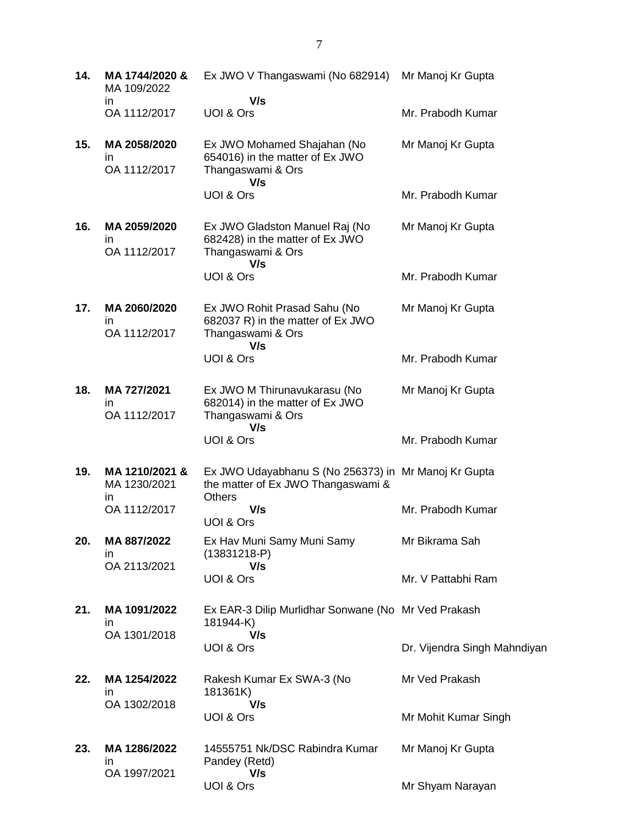| 14. | MA 1744/2020 &<br>MA 109/2022        | Ex JWO V Thangaswami (No 682914)                                                                     | Mr Manoj Kr Gupta            |
|-----|--------------------------------------|------------------------------------------------------------------------------------------------------|------------------------------|
|     | in<br>OA 1112/2017                   | V/s<br>UOI & Ors                                                                                     | Mr. Prabodh Kumar            |
| 15. | MA 2058/2020<br>in<br>OA 1112/2017   | Ex JWO Mohamed Shajahan (No<br>654016) in the matter of Ex JWO<br>Thangaswami & Ors<br>V/s           | Mr Manoj Kr Gupta            |
|     |                                      | UOI & Ors                                                                                            | Mr. Prabodh Kumar            |
| 16. | MA 2059/2020<br>in<br>OA 1112/2017   | Ex JWO Gladston Manuel Raj (No<br>682428) in the matter of Ex JWO<br>Thangaswami & Ors<br>V/s        | Mr Manoj Kr Gupta            |
|     |                                      | UOI & Ors                                                                                            | Mr. Prabodh Kumar            |
| 17. | MA 2060/2020<br>in<br>OA 1112/2017   | Ex JWO Rohit Prasad Sahu (No<br>682037 R) in the matter of Ex JWO<br>Thangaswami & Ors               | Mr Manoj Kr Gupta            |
|     |                                      | V/s<br>UOI & Ors                                                                                     | Mr. Prabodh Kumar            |
| 18. | MA 727/2021<br>in<br>OA 1112/2017    | Ex JWO M Thirunavukarasu (No<br>682014) in the matter of Ex JWO<br>Thangaswami & Ors                 | Mr Manoj Kr Gupta            |
|     |                                      | V/s<br>UOI & Ors                                                                                     | Mr. Prabodh Kumar            |
| 19. | MA 1210/2021 &<br>MA 1230/2021<br>in | Ex JWO Udayabhanu S (No 256373) in Mr Manoj Kr Gupta<br>the matter of Ex JWO Thangaswami &<br>Others |                              |
|     | OA 1112/2017                         | V/s<br>UOI & Ors                                                                                     | Mr. Prabodh Kumar            |
| 20. | MA 887/2022<br>in<br>OA 2113/2021    | Ex Hav Muni Samy Muni Samy<br>$(13831218 - P)$<br>V/s                                                | Mr Bikrama Sah               |
|     |                                      | UOI & Ors                                                                                            | Mr. V Pattabhi Ram           |
| 21. | MA 1091/2022<br>ın                   | Ex EAR-3 Dilip Murlidhar Sonwane (No Mr Ved Prakash<br>181944-K)                                     |                              |
|     | OA 1301/2018                         | V/s<br>UOI & Ors                                                                                     | Dr. Vijendra Singh Mahndiyan |
| 22. | MA 1254/2022<br>in                   | Rakesh Kumar Ex SWA-3 (No<br>181361K)                                                                | Mr Ved Prakash               |
|     | OA 1302/2018                         | V/s<br>UOI & Ors                                                                                     | Mr Mohit Kumar Singh         |
| 23. | MA 1286/2022<br>in                   | 14555751 Nk/DSC Rabindra Kumar<br>Pandey (Retd)                                                      | Mr Manoj Kr Gupta            |
|     | OA 1997/2021                         | V/s<br>UOI & Ors                                                                                     | Mr Shyam Narayan             |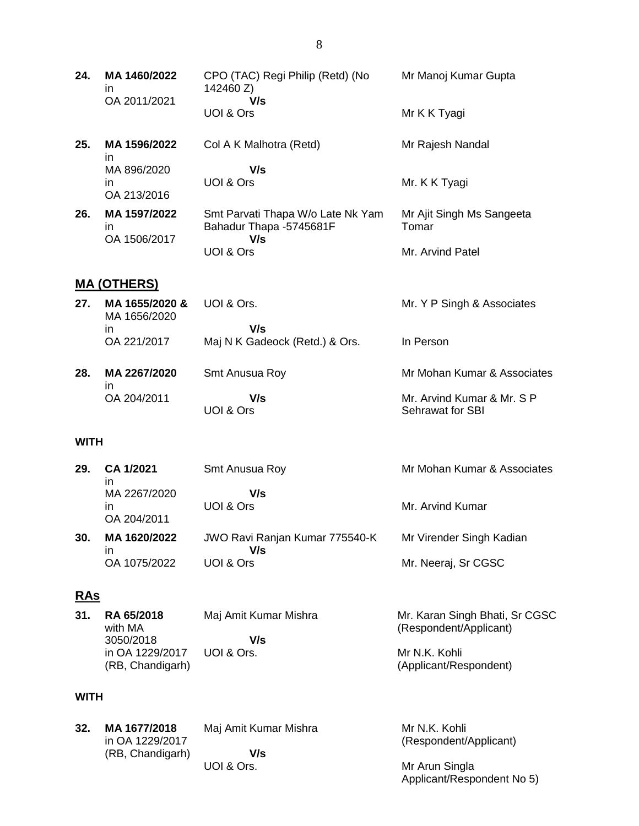**24. MA 1460/2022** in OA 2011/2021 CPO (TAC) Regi Philip (Retd) (No 142460 Z)  **V/s** UOI & Ors Mr Manoj Kumar Gupta Mr K K Tyagi

**25. MA 1596/2022** in MA 896/2020 in OA 213/2016 Col A K Malhotra (Retd)  **V/s** UOI & Ors Mr Rajesh Nandal Mr. K K Tyagi

**26. MA 1597/2022** in OA 1506/2017 Smt Parvati Thapa W/o Late Nk Yam Bahadur Thapa -5745681F  **V/s** UOI & Ors Mr Ajit Singh Ms Sangeeta Tomar Mr. Arvind Patel

### **MA (OTHERS)**

| 27. | MA 1655/2020 &<br>MA 1656/2020 | UOI & Ors.                            | Mr. Y P Singh & Associates                     |
|-----|--------------------------------|---------------------------------------|------------------------------------------------|
|     | in<br>OA 221/2017              | V/s<br>Maj N K Gadeock (Retd.) & Ors. | In Person                                      |
| 28. | MA 2267/2020<br>in             | Smt Anusua Roy                        | Mr Mohan Kumar & Associates                    |
|     | OA 204/2011                    | V/s<br>UOI & Ors                      | Mr. Arvind Kumar & Mr. S P<br>Sehrawat for SBI |

### **WITH**

| 29. | CA 1/2021<br>ın                   | Smt Anusua Roy                               | Mr Mohan Kumar & Associates |
|-----|-----------------------------------|----------------------------------------------|-----------------------------|
|     | MA 2267/2020<br>ın<br>OA 204/2011 | V/s<br>UOI & Ors                             | Mr. Arvind Kumar            |
| 30. | MA 1620/2022<br>ın                | <b>JWO Ravi Ranjan Kumar 775540-K</b><br>V/s | Mr Virender Singh Kadian    |
|     | OA 1075/2022                      | UOI & Ors                                    | Mr. Neeraj, Sr CGSC         |

### **RAs**

| 31. | <b>RA 65/2018</b><br>with MA | Maj Amit Kumar Mishra | Mr. Karan Singh Bhati, Sr CGSC<br>(Respondent/Applicant) |
|-----|------------------------------|-----------------------|----------------------------------------------------------|
|     | 3050/2018                    | V/s                   |                                                          |
|     | in OA 1229/2017              | UOL& Ors.             | Mr N.K. Kohli                                            |
|     | (RB, Chandigarh)             |                       | (Applicant/Respondent)                                   |

#### **WITH**

| 32. | MA 1677/2018<br>in OA 1229/2017 | Maj Amit Kumar Mishra | Mr N.K. Kohli<br>(Respondent/Applicant) |
|-----|---------------------------------|-----------------------|-----------------------------------------|
|     | (RB, Chandigarh)                | V/s                   |                                         |
|     |                                 | UOI & Ors.            | Mr Arun Singla                          |
|     |                                 |                       | Applicant/Respondent No 5)              |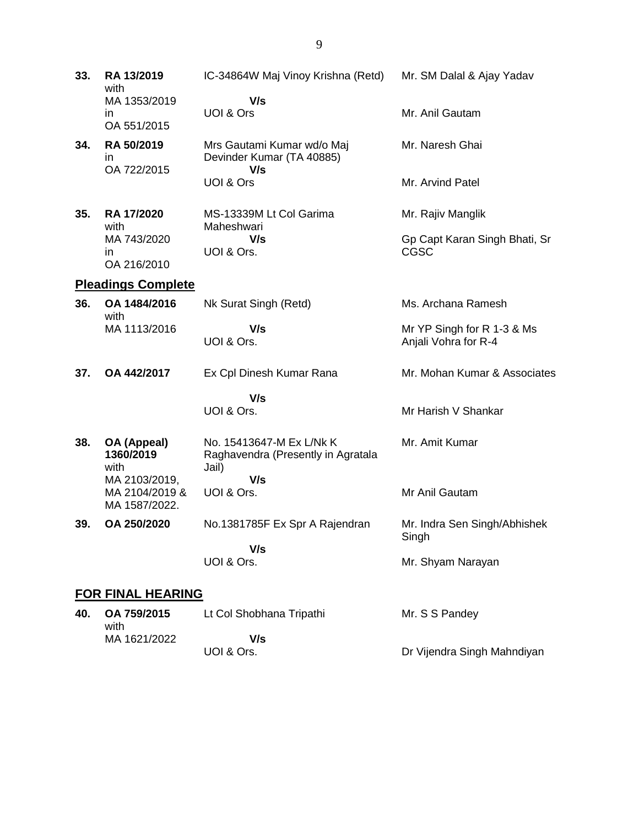| 33. | RA 13/2019<br>with                               | IC-34864W Maj Vinoy Krishna (Retd)                                      | Mr. SM Dalal & Ajay Yadav                          |
|-----|--------------------------------------------------|-------------------------------------------------------------------------|----------------------------------------------------|
|     | MA 1353/2019<br>in<br>OA 551/2015                | V/s<br>UOI & Ors                                                        | Mr. Anil Gautam                                    |
| 34. | RA 50/2019<br>in<br>OA 722/2015                  | Mrs Gautami Kumar wd/o Maj<br>Devinder Kumar (TA 40885)<br>V/s          | Mr. Naresh Ghai                                    |
|     |                                                  | UOI & Ors                                                               | Mr. Arvind Patel                                   |
| 35. | RA 17/2020<br>with                               | MS-13339M Lt Col Garima<br>Maheshwari                                   | Mr. Rajiv Manglik                                  |
|     | MA 743/2020<br>in<br>OA 216/2010                 | V/s<br>UOI & Ors.                                                       | Gp Capt Karan Singh Bhati, Sr<br>CGSC              |
|     | <b>Pleadings Complete</b>                        |                                                                         |                                                    |
| 36. | OA 1484/2016                                     | Nk Surat Singh (Retd)                                                   | Ms. Archana Ramesh                                 |
|     | with<br>MA 1113/2016                             | V/s<br>UOI & Ors.                                                       | Mr YP Singh for R 1-3 & Ms<br>Anjali Vohra for R-4 |
| 37. | OA 442/2017                                      | Ex Cpl Dinesh Kumar Rana                                                | Mr. Mohan Kumar & Associates                       |
|     |                                                  | V/s                                                                     |                                                    |
|     |                                                  | UOI & Ors.                                                              | Mr Harish V Shankar                                |
| 38. | OA (Appeal)<br>1360/2019<br>with                 | No. 15413647-M Ex L/Nk K<br>Raghavendra (Presently in Agratala<br>Jail) | Mr. Amit Kumar                                     |
|     | MA 2103/2019,<br>MA 2104/2019 &<br>MA 1587/2022. | V/s<br>UOI & Ors.                                                       | Mr Anil Gautam                                     |
| 39. | OA 250/2020                                      | No.1381785F Ex Spr A Rajendran                                          | Mr. Indra Sen Singh/Abhishek<br>Singh              |
|     |                                                  | V/s<br>UOI & Ors.                                                       | Mr. Shyam Narayan                                  |
|     | <b>FOR FINAL HEARING</b>                         |                                                                         |                                                    |

| 40. | OA 759/2015<br>with | Lt Col Shobhana Tripathi | Mr. S S Pandey              |
|-----|---------------------|--------------------------|-----------------------------|
|     | MA 1621/2022        | V/s                      |                             |
|     |                     | UOI & Ors.               | Dr Vijendra Singh Mahndiyan |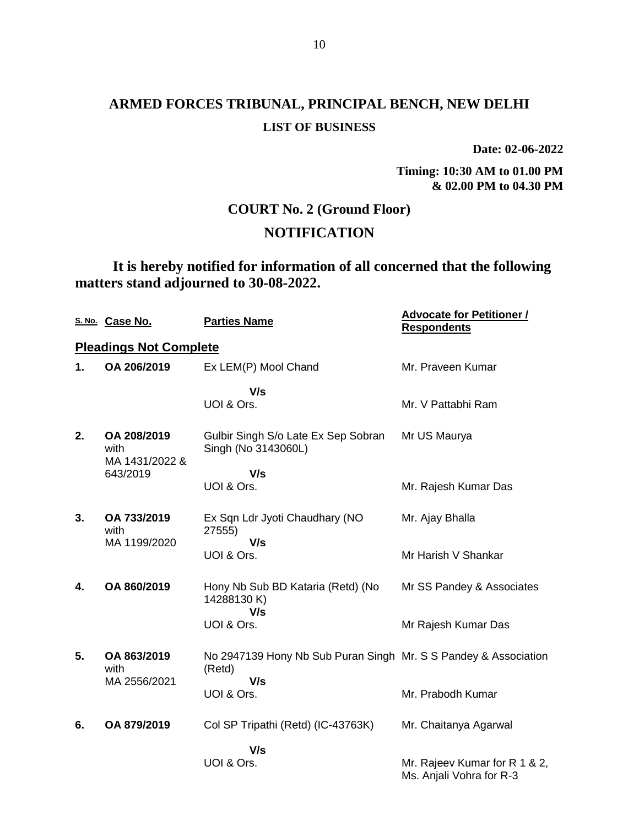**Date: 02-06-2022**

**Timing: 10:30 AM to 01.00 PM & 02.00 PM to 04.30 PM**

## **COURT No. 2 (Ground Floor)**

## **NOTIFICATION**

**It is hereby notified for information of all concerned that the following matters stand adjourned to 30-08-2022.**

|    | S. No. Case No.                       | <b>Parties Name</b>                                                       | <b>Advocate for Petitioner /</b><br><b>Respondents</b>    |
|----|---------------------------------------|---------------------------------------------------------------------------|-----------------------------------------------------------|
|    | <b>Pleadings Not Complete</b>         |                                                                           |                                                           |
| 1. | OA 206/2019                           | Ex LEM(P) Mool Chand                                                      | Mr. Praveen Kumar                                         |
|    |                                       | V/s<br>UOI & Ors.                                                         | Mr. V Pattabhi Ram                                        |
| 2. | OA 208/2019<br>with<br>MA 1431/2022 & | Gulbir Singh S/o Late Ex Sep Sobran<br>Singh (No 3143060L)                | Mr US Maurya                                              |
|    | 643/2019                              | V/s                                                                       |                                                           |
|    |                                       | UOI & Ors.                                                                | Mr. Rajesh Kumar Das                                      |
| 3. | OA 733/2019<br>with<br>MA 1199/2020   | Ex Sqn Ldr Jyoti Chaudhary (NO<br>27555)<br>V/s                           | Mr. Ajay Bhalla                                           |
|    |                                       | UOI & Ors.                                                                | Mr Harish V Shankar                                       |
| 4. | OA 860/2019                           | Hony Nb Sub BD Kataria (Retd) (No<br>14288130K)<br>V/s                    | Mr SS Pandey & Associates                                 |
|    |                                       | UOI & Ors.                                                                | Mr Rajesh Kumar Das                                       |
| 5. | OA 863/2019<br>with                   | No 2947139 Hony Nb Sub Puran Singh Mr. S S Pandey & Association<br>(Retd) |                                                           |
|    | MA 2556/2021                          | V/s<br>UOI & Ors.                                                         | Mr. Prabodh Kumar                                         |
| 6. | OA 879/2019                           | Col SP Tripathi (Retd) (IC-43763K)                                        | Mr. Chaitanya Agarwal                                     |
|    |                                       | V/s                                                                       |                                                           |
|    |                                       | UOI & Ors.                                                                | Mr. Rajeev Kumar for R 1 & 2,<br>Ms. Anjali Vohra for R-3 |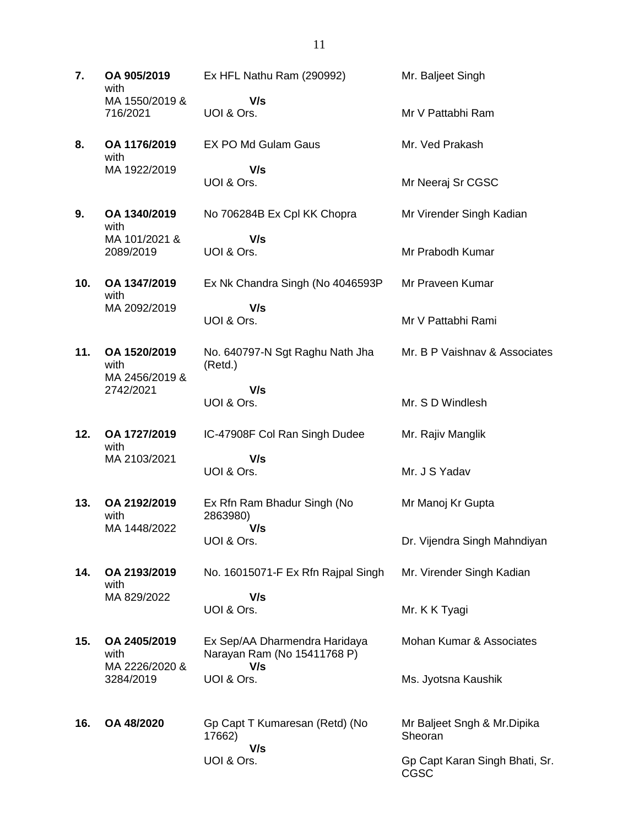**7. OA 905/2019** with MA 1550/2019 & 716/2021 Ex HFL Nathu Ram (290992)  **V/s** UOI & Ors. Mr. Baljeet Singh Mr V Pattabhi Ram **8. OA 1176/2019** with MA 1922/2019 EX PO Md Gulam Gaus  **V/s** UOI & Ors. Mr. Ved Prakash Mr Neeraj Sr CGSC **9. OA 1340/2019** with MA 101/2021 & 2089/2019 No 706284B Ex Cpl KK Chopra  **V/s** UOI & Ors. Mr Virender Singh Kadian Mr Prabodh Kumar **10. OA 1347/2019** with MA 2092/2019 Ex Nk Chandra Singh (No 4046593P  **V/s** UOI & Ors. Mr Praveen Kumar Mr V Pattabhi Rami **11. OA 1520/2019** with MA 2456/2019 & 2742/2021 No. 640797-N Sgt Raghu Nath Jha (Retd.)  **V/s** UOI & Ors. Mr. B P Vaishnav & Associates Mr. S D Windlesh **12. OA 1727/2019** with MA 2103/2021 IC-47908F Col Ran Singh Dudee  **V/s** UOI & Ors. Mr. Rajiv Manglik Mr. J S Yadav **13. OA 2192/2019** with MA 1448/2022 Ex Rfn Ram Bhadur Singh (No 2863980)  **V/s** UOI & Ors. Mr Manoj Kr Gupta Dr. Vijendra Singh Mahndiyan **14. OA 2193/2019** with MA 829/2022 No. 16015071-F Ex Rfn Rajpal Singh  **V/s** UOI & Ors. Mr. Virender Singh Kadian Mr. K K Tyagi **15. OA 2405/2019** with MA 2226/2020 & 3284/2019 Ex Sep/AA Dharmendra Haridaya Narayan Ram (No 15411768 P)  **V/s** UOI & Ors. Mohan Kumar & Associates Ms. Jyotsna Kaushik **16. OA 48/2020** Gp Capt T Kumaresan (Retd) (No 17662)  **V/s** UOI & Ors. Mr Baljeet Sngh & Mr.Dipika **Sheoran** Gp Capt Karan Singh Bhati, Sr. CGSC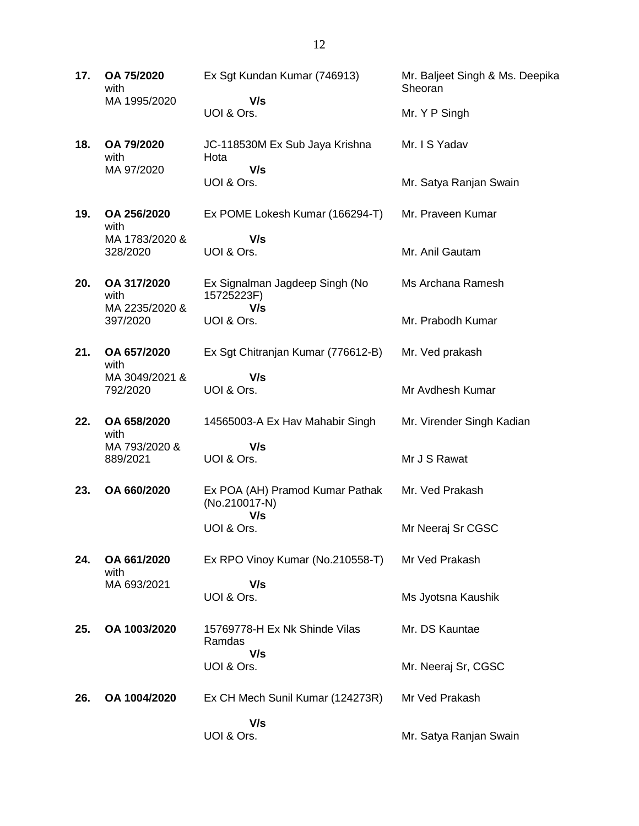**17. OA 75/2020** with MA 1995/2020 Ex Sgt Kundan Kumar (746913)  **V/s** UOI & Ors. Mr. Baljeet Singh & Ms. Deepika Sheoran Mr. Y P Singh **18. OA 79/2020** with MA 97/2020 JC-118530M Ex Sub Jaya Krishna Hota  **V/s** UOI & Ors. Mr. I S Yadav Mr. Satya Ranjan Swain **19. OA 256/2020** with MA 1783/2020 & 328/2020 Ex POME Lokesh Kumar (166294-T)  **V/s** UOI & Ors. Mr. Praveen Kumar Mr. Anil Gautam **20. OA 317/2020** with MA 2235/2020 & 397/2020 Ex Signalman Jagdeep Singh (No 15725223F)  **V/s** UOI & Ors. Ms Archana Ramesh Mr. Prabodh Kumar **21. OA 657/2020** with MA 3049/2021 & 792/2020 Ex Sgt Chitranjan Kumar (776612-B)  **V/s** UOI & Ors. Mr. Ved prakash Mr Avdhesh Kumar **22. OA 658/2020** with MA 793/2020 & 889/2021 14565003-A Ex Hav Mahabir Singh  **V/s** UOI & Ors. Mr. Virender Singh Kadian Mr J S Rawat **23. OA 660/2020** Ex POA (AH) Pramod Kumar Pathak (No.210017-N)  **V/s** UOI & Ors. Mr. Ved Prakash Mr Neeraj Sr CGSC **24. OA 661/2020** with MA 693/2021 Ex RPO Vinoy Kumar (No.210558-T)  **V/s** UOI & Ors. Mr Ved Prakash Ms Jyotsna Kaushik **25. OA 1003/2020** 15769778-H Ex Nk Shinde Vilas Ramdas  **V/s** UOI & Ors. Mr. DS Kauntae Mr. Neeraj Sr, CGSC **26. OA 1004/2020** Ex CH Mech Sunil Kumar (124273R)  **V/s** UOI & Ors. Mr Ved Prakash Mr. Satya Ranjan Swain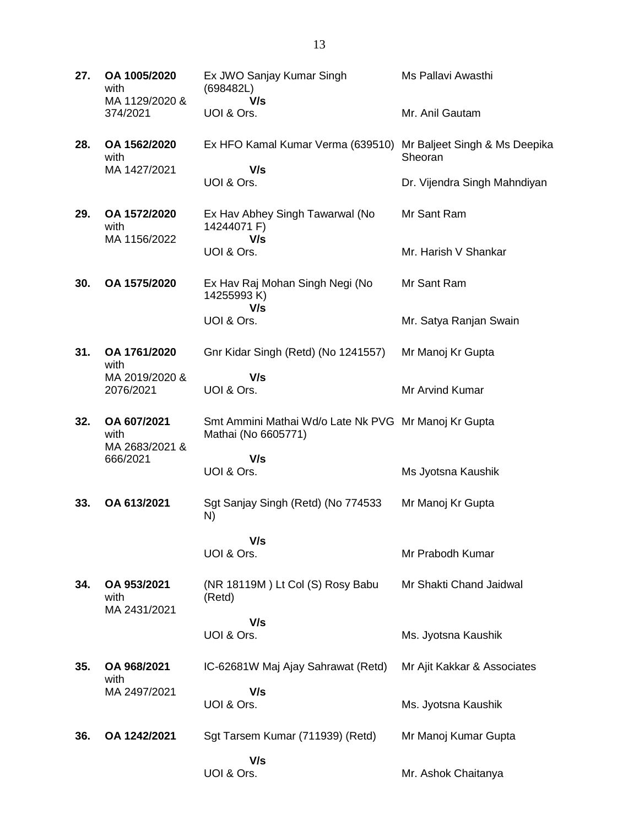| 27. | OA 1005/2020<br>with<br>MA 1129/2020 & | Ex JWO Sanjay Kumar Singh<br>(698482L)<br>V/s                               | Ms Pallavi Awasthi                       |
|-----|----------------------------------------|-----------------------------------------------------------------------------|------------------------------------------|
|     | 374/2021                               | UOI & Ors.                                                                  | Mr. Anil Gautam                          |
| 28. | OA 1562/2020<br>with<br>MA 1427/2021   | Ex HFO Kamal Kumar Verma (639510)                                           | Mr Baljeet Singh & Ms Deepika<br>Sheoran |
|     |                                        | V/s<br>UOI & Ors.                                                           | Dr. Vijendra Singh Mahndiyan             |
| 29. | OA 1572/2020<br>with<br>MA 1156/2022   | Ex Hav Abhey Singh Tawarwal (No<br>14244071 F)<br>V/s                       | Mr Sant Ram                              |
|     |                                        | UOI & Ors.                                                                  | Mr. Harish V Shankar                     |
| 30. | OA 1575/2020                           | Ex Hav Raj Mohan Singh Negi (No<br>14255993K)<br>V/s                        | Mr Sant Ram                              |
|     |                                        | UOI & Ors.                                                                  | Mr. Satya Ranjan Swain                   |
| 31. | OA 1761/2020<br>with                   | Gnr Kidar Singh (Retd) (No 1241557)                                         | Mr Manoj Kr Gupta                        |
|     | MA 2019/2020 &<br>2076/2021            | V/s<br>UOI & Ors.                                                           | Mr Arvind Kumar                          |
| 32. | OA 607/2021<br>with<br>MA 2683/2021 &  | Smt Ammini Mathai Wd/o Late Nk PVG Mr Manoj Kr Gupta<br>Mathai (No 6605771) |                                          |
|     | 666/2021                               | V/s<br>UOI & Ors.                                                           | Ms Jyotsna Kaushik                       |
| 33. | OA 613/2021                            | Sgt Sanjay Singh (Retd) (No 774533<br>N)                                    | Mr Manoj Kr Gupta                        |
|     |                                        | V/s                                                                         |                                          |
|     |                                        | UOI & Ors.                                                                  | Mr Prabodh Kumar                         |
| 34. | OA 953/2021<br>with<br>MA 2431/2021    | (NR 18119M) Lt Col (S) Rosy Babu<br>(Retd)                                  | Mr Shakti Chand Jaidwal                  |
|     |                                        | V/s<br>UOI & Ors.                                                           | Ms. Jyotsna Kaushik                      |
| 35. | OA 968/2021<br>with                    | IC-62681W Maj Ajay Sahrawat (Retd)                                          | Mr Ajit Kakkar & Associates              |
|     | MA 2497/2021                           | V/s<br>UOI & Ors.                                                           | Ms. Jyotsna Kaushik                      |
| 36. | OA 1242/2021                           | Sgt Tarsem Kumar (711939) (Retd)                                            | Mr Manoj Kumar Gupta                     |
|     |                                        | V/s<br>UOI & Ors.                                                           | Mr. Ashok Chaitanya                      |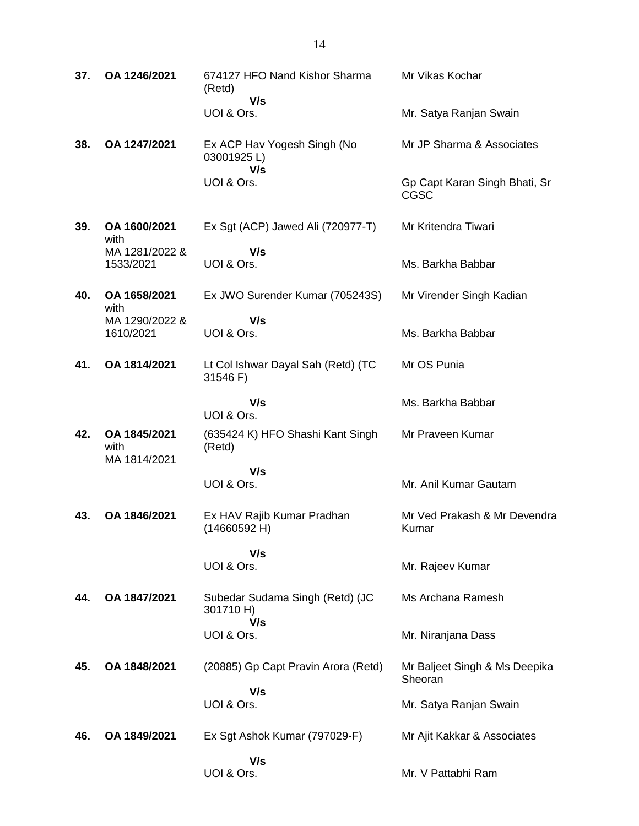| 37. | OA 1246/2021                         | 674127 HFO Nand Kishor Sharma<br>(Retd)             | Mr Vikas Kochar                              |
|-----|--------------------------------------|-----------------------------------------------------|----------------------------------------------|
|     |                                      | V/s<br>UOI & Ors.                                   | Mr. Satya Ranjan Swain                       |
| 38. | OA 1247/2021                         | Ex ACP Hav Yogesh Singh (No<br>03001925L)           | Mr JP Sharma & Associates                    |
|     |                                      | V/s<br>UOI & Ors.                                   | Gp Capt Karan Singh Bhati, Sr<br><b>CGSC</b> |
| 39. | OA 1600/2021<br>with                 | Ex Sgt (ACP) Jawed Ali (720977-T)                   | Mr Kritendra Tiwari                          |
|     | MA 1281/2022 &<br>1533/2021          | V/s<br>UOI & Ors.                                   | Ms. Barkha Babbar                            |
| 40. | OA 1658/2021<br>with                 | Ex JWO Surender Kumar (705243S)                     | Mr Virender Singh Kadian                     |
|     | MA 1290/2022 &<br>1610/2021          | V/s<br>UOI & Ors.                                   | Ms. Barkha Babbar                            |
| 41. | OA 1814/2021                         | Lt Col Ishwar Dayal Sah (Retd) (TC<br>31546 F)      | Mr OS Punia                                  |
|     |                                      | V/s<br>UOI & Ors.                                   | Ms. Barkha Babbar                            |
| 42. | OA 1845/2021<br>with<br>MA 1814/2021 | (635424 K) HFO Shashi Kant Singh<br>(Retd)          | Mr Praveen Kumar                             |
|     |                                      | V/s<br>UOI & Ors.                                   | Mr. Anil Kumar Gautam                        |
| 43. | OA 1846/2021                         | Ex HAV Rajib Kumar Pradhan<br>(14660592 H)          | Mr Ved Prakash & Mr Devendra<br>Kumar        |
|     |                                      | V/s<br>UOI & Ors.                                   | Mr. Rajeev Kumar                             |
| 44. | OA 1847/2021                         | Subedar Sudama Singh (Retd) (JC<br>301710 H)<br>V/s | Ms Archana Ramesh                            |
|     |                                      | UOI & Ors.                                          | Mr. Niranjana Dass                           |
| 45. | OA 1848/2021                         | (20885) Gp Capt Pravin Arora (Retd)                 | Mr Baljeet Singh & Ms Deepika<br>Sheoran     |
|     |                                      | V/s<br>UOI & Ors.                                   | Mr. Satya Ranjan Swain                       |
| 46. | OA 1849/2021                         | Ex Sgt Ashok Kumar (797029-F)                       | Mr Ajit Kakkar & Associates                  |
|     |                                      | V/s<br>UOI & Ors.                                   | Mr. V Pattabhi Ram                           |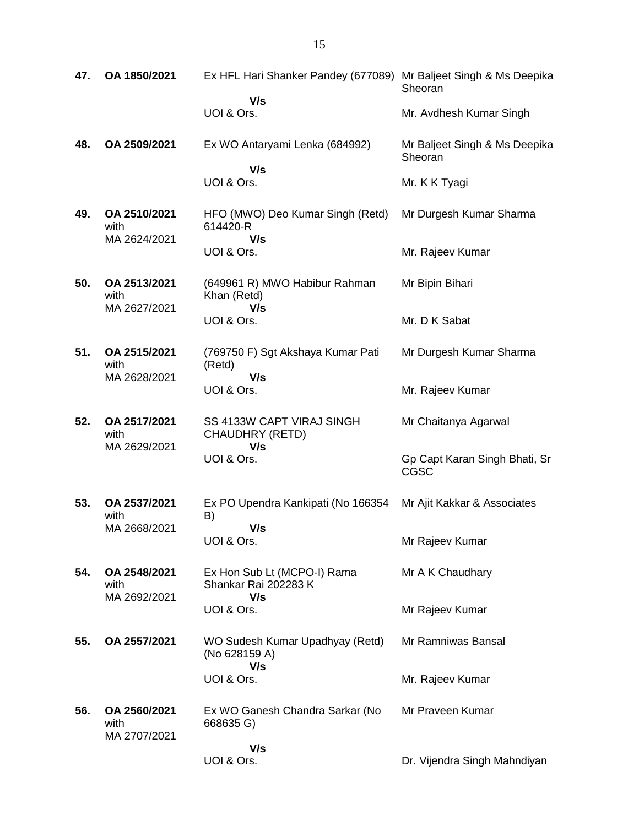| 47. | OA 1850/2021                         | Ex HFL Hari Shanker Pandey (677089) Mr Baljeet Singh & Ms Deepika | Sheoran                                  |
|-----|--------------------------------------|-------------------------------------------------------------------|------------------------------------------|
|     |                                      | V/s<br>UOI & Ors.                                                 | Mr. Avdhesh Kumar Singh                  |
| 48. | OA 2509/2021                         | Ex WO Antaryami Lenka (684992)                                    | Mr Baljeet Singh & Ms Deepika<br>Sheoran |
|     |                                      | V/s<br>UOI & Ors.                                                 | Mr. K K Tyagi                            |
| 49. | OA 2510/2021<br>with                 | HFO (MWO) Deo Kumar Singh (Retd)<br>614420-R                      | Mr Durgesh Kumar Sharma                  |
|     | MA 2624/2021                         | V/s<br>UOI & Ors.                                                 | Mr. Rajeev Kumar                         |
| 50. | OA 2513/2021<br>with                 | (649961 R) MWO Habibur Rahman<br>Khan (Retd)                      | Mr Bipin Bihari                          |
|     | MA 2627/2021                         | V/s<br>UOI & Ors.                                                 | Mr. D K Sabat                            |
| 51. | OA 2515/2021<br>with                 | (769750 F) Sgt Akshaya Kumar Pati<br>(Retd)                       | Mr Durgesh Kumar Sharma                  |
|     | MA 2628/2021                         | V/s<br>UOI & Ors.                                                 | Mr. Rajeev Kumar                         |
| 52. | OA 2517/2021<br>with                 | SS 4133W CAPT VIRAJ SINGH<br>CHAUDHRY (RETD)                      | Mr Chaitanya Agarwal                     |
|     | MA 2629/2021                         | V/s<br>UOI & Ors.                                                 | Gp Capt Karan Singh Bhati, Sr<br>CGSC    |
| 53. | OA 2537/2021<br>with                 | Ex PO Upendra Kankipati (No 166354<br>B)                          | Mr Ajit Kakkar & Associates              |
|     | MA 2668/2021                         | V/s<br>UOI & Ors.                                                 | Mr Rajeev Kumar                          |
| 54. | OA 2548/2021<br>with                 | Ex Hon Sub Lt (MCPO-I) Rama<br>Shankar Rai 202283 K               | Mr A K Chaudhary                         |
|     | MA 2692/2021                         | V/s<br>UOI & Ors.                                                 | Mr Rajeev Kumar                          |
| 55. | OA 2557/2021                         | WO Sudesh Kumar Upadhyay (Retd)<br>(No 628159 A)                  | Mr Ramniwas Bansal                       |
|     |                                      | V/s<br>UOI & Ors.                                                 | Mr. Rajeev Kumar                         |
| 56. | OA 2560/2021<br>with<br>MA 2707/2021 | Ex WO Ganesh Chandra Sarkar (No<br>668635 G)                      | Mr Praveen Kumar                         |
|     |                                      | V/s<br>UOI & Ors.                                                 | Dr. Vijendra Singh Mahndiyan             |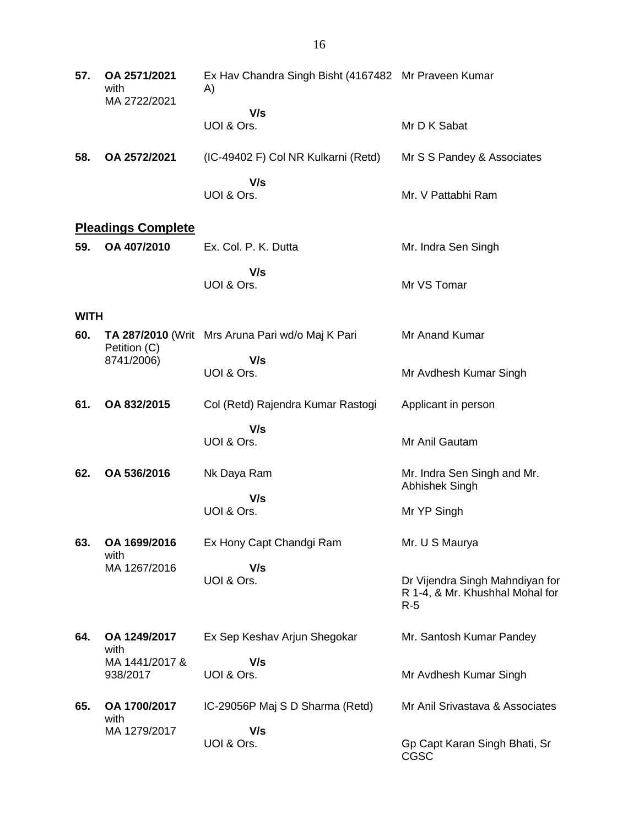| 57.         | OA 2571/2021<br>with<br>MA 2722/2021 | Ex Hav Chandra Singh Bisht (4167482 Mr Praveen Kumar<br>A) |                                                                             |
|-------------|--------------------------------------|------------------------------------------------------------|-----------------------------------------------------------------------------|
|             |                                      | V/s<br>UOI & Ors.                                          | Mr D K Sabat                                                                |
| 58.         | OA 2572/2021                         | (IC-49402 F) Col NR Kulkarni (Retd)                        | Mr S S Pandey & Associates                                                  |
|             |                                      | V/s<br>UOI & Ors.                                          | Mr. V Pattabhi Ram                                                          |
|             | <b>Pleadings Complete</b>            |                                                            |                                                                             |
| 59.         | OA 407/2010                          | Ex. Col. P. K. Dutta                                       | Mr. Indra Sen Singh                                                         |
|             |                                      | V/s<br>UOI & Ors.                                          | Mr VS Tomar                                                                 |
| <b>WITH</b> |                                      |                                                            |                                                                             |
| 60.         | Petition (C)                         | TA 287/2010 (Writ Mrs Aruna Pari wd/o Maj K Pari           | Mr Anand Kumar                                                              |
|             | 8741/2006)                           | V/s<br>UOI & Ors.                                          | Mr Avdhesh Kumar Singh                                                      |
| 61.         | OA 832/2015                          | Col (Retd) Rajendra Kumar Rastogi                          | Applicant in person                                                         |
|             |                                      | V/s<br>UOI & Ors.                                          | Mr Anil Gautam                                                              |
| 62.         | OA 536/2016                          | Nk Daya Ram                                                | Mr. Indra Sen Singh and Mr.<br>Abhishek Singh                               |
|             |                                      | V/s<br>UOI & Ors.                                          | Mr YP Singh                                                                 |
| 63.         | OA 1699/2016<br>with                 | Ex Hony Capt Chandgi Ram                                   | Mr. U S Maurya                                                              |
|             | MA 1267/2016                         | V/s<br>UOI & Ors.                                          | Dr Vijendra Singh Mahndiyan for<br>R 1-4, & Mr. Khushhal Mohal for<br>$R-5$ |
| 64.         | OA 1249/2017<br>with                 | Ex Sep Keshav Arjun Shegokar                               | Mr. Santosh Kumar Pandey                                                    |
|             | MA 1441/2017 &<br>938/2017           | V/s<br>UOI & Ors.                                          | Mr Avdhesh Kumar Singh                                                      |
| 65.         | OA 1700/2017<br>with                 | IC-29056P Maj S D Sharma (Retd)                            | Mr Anil Srivastava & Associates                                             |
|             | MA 1279/2017                         | V/s<br>UOI & Ors.                                          | Gp Capt Karan Singh Bhati, Sr<br>CGSC                                       |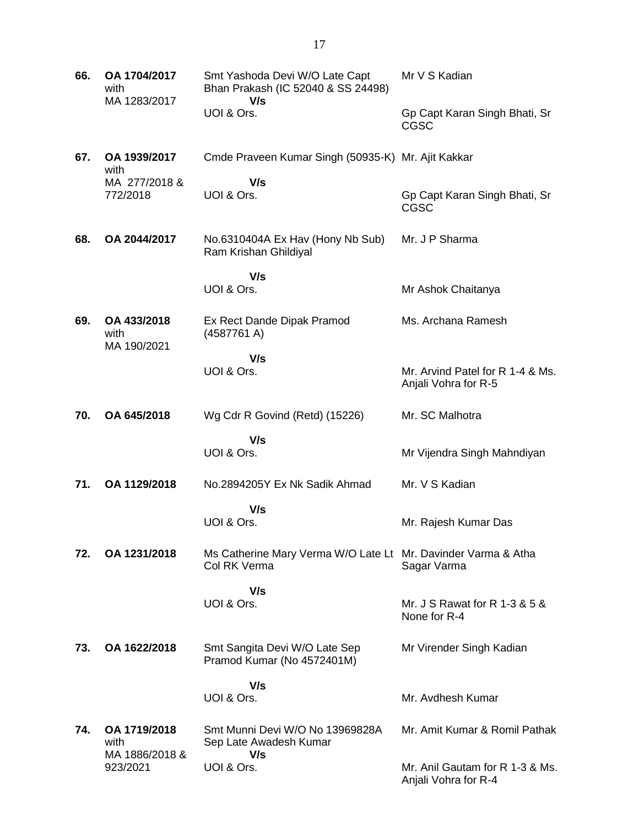| 66. | OA 1704/2017<br>with<br>MA 1283/2017   | Smt Yashoda Devi W/O Late Capt<br>Bhan Prakash (IC 52040 & SS 24498)<br>V/s   | Mr V S Kadian                                            |
|-----|----------------------------------------|-------------------------------------------------------------------------------|----------------------------------------------------------|
|     |                                        | UOI & Ors.                                                                    | Gp Capt Karan Singh Bhati, Sr<br>CGSC                    |
| 67. | OA 1939/2017<br>with                   | Cmde Praveen Kumar Singh (50935-K) Mr. Ajit Kakkar                            |                                                          |
|     | MA 277/2018 &<br>772/2018              | V/s<br>UOI & Ors.                                                             | Gp Capt Karan Singh Bhati, Sr<br><b>CGSC</b>             |
| 68. | OA 2044/2017                           | No.6310404A Ex Hav (Hony Nb Sub)<br>Ram Krishan Ghildiyal                     | Mr. J P Sharma                                           |
|     |                                        | V/s<br>UOI & Ors.                                                             | Mr Ashok Chaitanya                                       |
| 69. | OA 433/2018<br>with<br>MA 190/2021     | Ex Rect Dande Dipak Pramod<br>(4587761 A)                                     | Ms. Archana Ramesh                                       |
|     |                                        | V/s<br>UOI & Ors.                                                             | Mr. Arvind Patel for R 1-4 & Ms.<br>Anjali Vohra for R-5 |
| 70. | OA 645/2018                            | Wg Cdr R Govind (Retd) (15226)                                                | Mr. SC Malhotra                                          |
|     |                                        | V/s<br>UOI & Ors.                                                             | Mr Vijendra Singh Mahndiyan                              |
| 71. | OA 1129/2018                           | No.2894205Y Ex Nk Sadik Ahmad                                                 | Mr. V S Kadian                                           |
|     |                                        | V/s<br>UOI & Ors.                                                             | Mr. Rajesh Kumar Das                                     |
| 72. | OA 1231/2018                           | Ms Catherine Mary Verma W/O Late Lt Mr. Davinder Varma & Atha<br>Col RK Verma | Sagar Varma                                              |
|     |                                        | V/s<br>UOI & Ors.                                                             | Mr. J S Rawat for R 1-3 & 5 &<br>None for R-4            |
| 73. | OA 1622/2018                           | Smt Sangita Devi W/O Late Sep<br>Pramod Kumar (No 4572401M)                   | Mr Virender Singh Kadian                                 |
|     |                                        | V/s<br>UOI & Ors.                                                             | Mr. Avdhesh Kumar                                        |
| 74. | OA 1719/2018<br>with<br>MA 1886/2018 & | Smt Munni Devi W/O No 13969828A<br>Sep Late Awadesh Kumar<br>V/s              | Mr. Amit Kumar & Romil Pathak                            |
|     | 923/2021                               | UOI & Ors.                                                                    | Mr. Anil Gautam for R 1-3 & Ms.<br>Anjali Vohra for R-4  |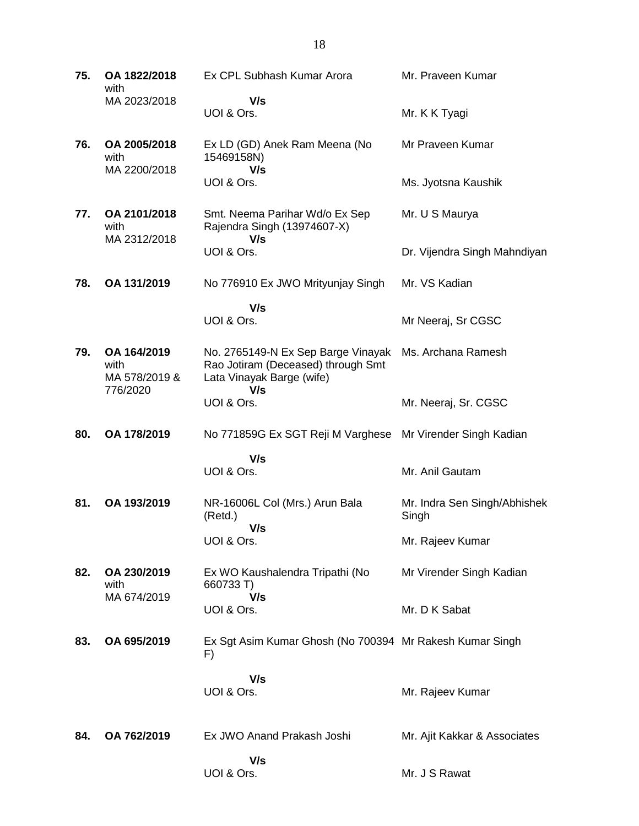| 75. | OA 1822/2018<br>with                             | Ex CPL Subhash Kumar Arora                                                                                   | Mr. Praveen Kumar                     |
|-----|--------------------------------------------------|--------------------------------------------------------------------------------------------------------------|---------------------------------------|
|     | MA 2023/2018                                     | V/s<br>UOI & Ors.                                                                                            | Mr. K K Tyagi                         |
| 76. | OA 2005/2018<br>with                             | Ex LD (GD) Anek Ram Meena (No<br>15469158N)                                                                  | Mr Praveen Kumar                      |
|     | MA 2200/2018                                     | V/s<br>UOI & Ors.                                                                                            | Ms. Jyotsna Kaushik                   |
| 77. | OA 2101/2018<br>with<br>MA 2312/2018             | Smt. Neema Parihar Wd/o Ex Sep<br>Rajendra Singh (13974607-X)<br>V/s                                         | Mr. U S Maurya                        |
|     |                                                  | UOI & Ors.                                                                                                   | Dr. Vijendra Singh Mahndiyan          |
| 78. | OA 131/2019                                      | No 776910 Ex JWO Mrityunjay Singh                                                                            | Mr. VS Kadian                         |
|     |                                                  | V/s<br>UOI & Ors.                                                                                            | Mr Neeraj, Sr CGSC                    |
| 79. | OA 164/2019<br>with<br>MA 578/2019 &<br>776/2020 | No. 2765149-N Ex Sep Barge Vinayak<br>Rao Jotiram (Deceased) through Smt<br>Lata Vinayak Barge (wife)<br>V/s | Ms. Archana Ramesh                    |
|     |                                                  | UOI & Ors.                                                                                                   | Mr. Neeraj, Sr. CGSC                  |
| 80. | OA 178/2019                                      | No 771859G Ex SGT Reji M Varghese                                                                            | Mr Virender Singh Kadian              |
|     |                                                  | V/s<br>UOI & Ors.                                                                                            | Mr. Anil Gautam                       |
| 81. | OA 193/2019                                      | NR-16006L Col (Mrs.) Arun Bala<br>(Retd.)<br>V/s                                                             | Mr. Indra Sen Singh/Abhishek<br>Singh |
|     |                                                  | UOI & Ors.                                                                                                   | Mr. Rajeev Kumar                      |
| 82. | OA 230/2019<br>with<br>MA 674/2019               | Ex WO Kaushalendra Tripathi (No<br>660733 T)<br>V/s                                                          | Mr Virender Singh Kadian              |
|     |                                                  | UOI & Ors.                                                                                                   | Mr. D K Sabat                         |
| 83. | OA 695/2019                                      | Ex Sgt Asim Kumar Ghosh (No 700394 Mr Rakesh Kumar Singh<br>F)                                               |                                       |
|     |                                                  | V/s<br>UOI & Ors.                                                                                            | Mr. Rajeev Kumar                      |
| 84. | OA 762/2019                                      | Ex JWO Anand Prakash Joshi                                                                                   | Mr. Ajit Kakkar & Associates          |
|     |                                                  | V/s<br>UOI & Ors.                                                                                            | Mr. J S Rawat                         |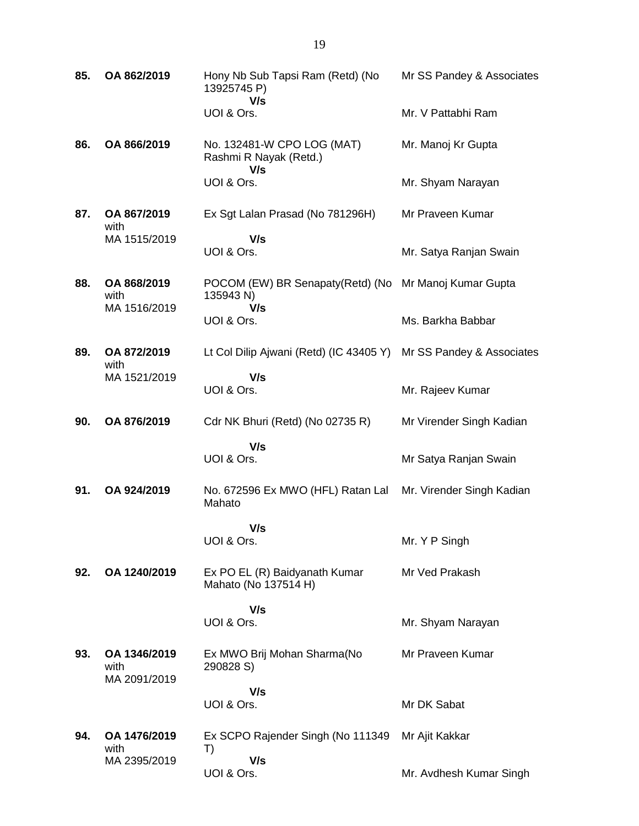| 85. | OA 862/2019                          | Hony Nb Sub Tapsi Ram (Retd) (No<br>13925745 P)<br>V/s      | Mr SS Pandey & Associates |
|-----|--------------------------------------|-------------------------------------------------------------|---------------------------|
|     |                                      | UOI & Ors.                                                  | Mr. V Pattabhi Ram        |
| 86. | OA 866/2019                          | No. 132481-W CPO LOG (MAT)<br>Rashmi R Nayak (Retd.)<br>V/s | Mr. Manoj Kr Gupta        |
|     |                                      | UOI & Ors.                                                  | Mr. Shyam Narayan         |
| 87. | OA 867/2019<br>with                  | Ex Sgt Lalan Prasad (No 781296H)                            | Mr Praveen Kumar          |
|     | MA 1515/2019                         | V/s<br>UOI & Ors.                                           | Mr. Satya Ranjan Swain    |
| 88. | OA 868/2019<br>with<br>MA 1516/2019  | POCOM (EW) BR Senapaty (Retd) (No<br>135943 N)<br>V/s       | Mr Manoj Kumar Gupta      |
|     |                                      | UOI & Ors.                                                  | Ms. Barkha Babbar         |
| 89. | OA 872/2019<br>with                  | Lt Col Dilip Ajwani (Retd) (IC 43405 Y)                     | Mr SS Pandey & Associates |
|     | MA 1521/2019                         | V/s<br>UOI & Ors.                                           | Mr. Rajeev Kumar          |
| 90. | OA 876/2019                          | Cdr NK Bhuri (Retd) (No 02735 R)                            | Mr Virender Singh Kadian  |
|     |                                      | V/s<br>UOI & Ors.                                           | Mr Satya Ranjan Swain     |
| 91. | OA 924/2019                          | No. 672596 Ex MWO (HFL) Ratan Lal<br>Mahato                 | Mr. Virender Singh Kadian |
|     |                                      | V/s<br>UOI & Ors.                                           | Mr. Y P Singh             |
| 92. | OA 1240/2019                         | Ex PO EL (R) Baidyanath Kumar<br>Mahato (No 137514 H)       | Mr Ved Prakash            |
|     |                                      | V/s<br>UOI & Ors.                                           | Mr. Shyam Narayan         |
| 93. | OA 1346/2019<br>with<br>MA 2091/2019 | Ex MWO Brij Mohan Sharma(No<br>290828 S)                    | Mr Praveen Kumar          |
|     |                                      | V/s<br>UOI & Ors.                                           | Mr DK Sabat               |
| 94. | OA 1476/2019<br>with                 | Ex SCPO Rajender Singh (No 111349<br>T)                     | Mr Ajit Kakkar            |
|     | MA 2395/2019                         | V/s<br>UOI & Ors.                                           | Mr. Avdhesh Kumar Singh   |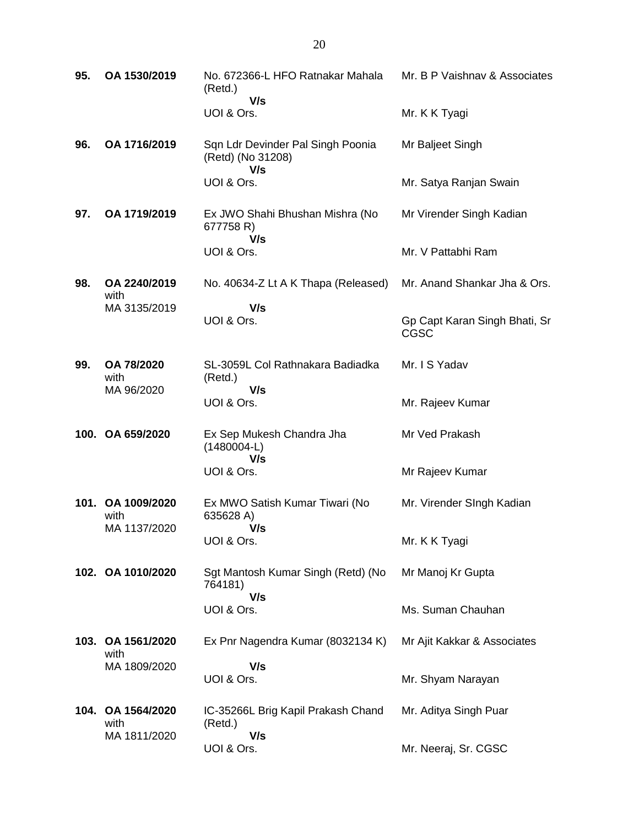| 95. | OA 1530/2019                              | No. 672366-L HFO Ratnakar Mahala<br>(Retd.)                   | Mr. B P Vaishnav & Associates |
|-----|-------------------------------------------|---------------------------------------------------------------|-------------------------------|
|     |                                           | V/s<br>UOI & Ors.                                             | Mr. K K Tyagi                 |
| 96. | OA 1716/2019                              | Sqn Ldr Devinder Pal Singh Poonia<br>(Retd) (No 31208)<br>V/s | Mr Baljeet Singh              |
|     |                                           | UOI & Ors.                                                    | Mr. Satya Ranjan Swain        |
| 97. | OA 1719/2019                              | Ex JWO Shahi Bhushan Mishra (No<br>677758 R)<br>V/s           | Mr Virender Singh Kadian      |
|     |                                           | UOI & Ors.                                                    | Mr. V Pattabhi Ram            |
| 98. | OA 2240/2019<br>with                      | No. 40634-Z Lt A K Thapa (Released)                           | Mr. Anand Shankar Jha & Ors.  |
|     | MA 3135/2019                              | V/s<br>UOI & Ors.                                             | Gp Capt Karan Singh Bhati, Sr |
|     |                                           |                                                               | CGSC                          |
| 99. | OA 78/2020<br>with                        | SL-3059L Col Rathnakara Badiadka<br>(Retd.)                   | Mr. I S Yadav                 |
|     | MA 96/2020                                | V/s<br>UOI & Ors.                                             | Mr. Rajeev Kumar              |
|     | 100. OA 659/2020                          | Ex Sep Mukesh Chandra Jha<br>$(1480004-L)$<br>V/s             | Mr Ved Prakash                |
|     |                                           | UOI & Ors.                                                    | Mr Rajeev Kumar               |
|     | 101. OA 1009/2020<br>with<br>MA 1137/2020 | Ex MWO Satish Kumar Tiwari (No<br>635628 A)<br>V/s            | Mr. Virender SIngh Kadian     |
|     |                                           | UOI & Ors.                                                    | Mr. K K Tyagi                 |
|     | 102. OA 1010/2020                         | Sgt Mantosh Kumar Singh (Retd) (No<br>764181)                 | Mr Manoj Kr Gupta             |
|     |                                           | V/s<br>UOI & Ors.                                             | Ms. Suman Chauhan             |
|     | 103. OA 1561/2020<br>with                 | Ex Pnr Nagendra Kumar (8032134 K)                             | Mr Ajit Kakkar & Associates   |
|     | MA 1809/2020                              | V/s<br>UOI & Ors.                                             | Mr. Shyam Narayan             |
|     | 104. OA 1564/2020<br>with                 | IC-35266L Brig Kapil Prakash Chand<br>(Retd.)                 | Mr. Aditya Singh Puar         |
|     | MA 1811/2020                              | V/s<br>UOI & Ors.                                             | Mr. Neeraj, Sr. CGSC          |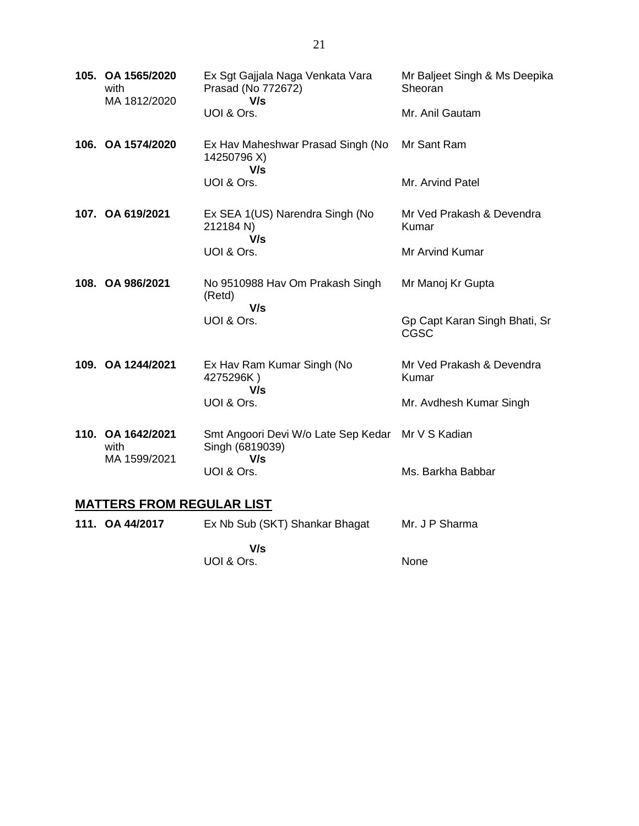|                                  | 105. OA 1565/2020<br>with<br>MA 1812/2020 | Ex Sgt Gajjala Naga Venkata Vara<br>Prasad (No 772672)<br>V/s               | Mr Baljeet Singh & Ms Deepika<br>Sheoran |  |
|----------------------------------|-------------------------------------------|-----------------------------------------------------------------------------|------------------------------------------|--|
|                                  |                                           | UOI & Ors.                                                                  | Mr. Anil Gautam                          |  |
|                                  | 106. OA 1574/2020                         | Ex Hav Maheshwar Prasad Singh (No<br>14250796 X)<br>V/s                     | Mr Sant Ram                              |  |
|                                  |                                           | UOI & Ors.                                                                  | Mr. Arvind Patel                         |  |
|                                  | 107. OA 619/2021                          | Ex SEA 1(US) Narendra Singh (No<br>212184 N)<br>V/s                         | Mr Ved Prakash & Devendra<br>Kumar       |  |
|                                  |                                           | UOI & Ors.                                                                  | Mr Arvind Kumar                          |  |
|                                  | 108. OA 986/2021                          | No 9510988 Hav Om Prakash Singh<br>(Retd)<br>V/s                            | Mr Manoj Kr Gupta                        |  |
|                                  |                                           | UOI & Ors.                                                                  | Gp Capt Karan Singh Bhati, Sr<br>CGSC    |  |
|                                  | 109. OA 1244/2021                         | Ex Hav Ram Kumar Singh (No<br>4275296K)<br>V/s                              | Mr Ved Prakash & Devendra<br>Kumar       |  |
|                                  |                                           | UOI & Ors.                                                                  | Mr. Avdhesh Kumar Singh                  |  |
|                                  | 110. OA 1642/2021<br>with<br>MA 1599/2021 | Smt Angoori Devi W/o Late Sep Kedar Mr V S Kadian<br>Singh (6819039)<br>V/s |                                          |  |
|                                  |                                           | UOI & Ors.                                                                  | Ms. Barkha Babbar                        |  |
| <b>MATTERS FROM REGULAR LIST</b> |                                           |                                                                             |                                          |  |

| 111. OA 44/2017 | Ex Nb Sub (SKT) Shankar Bhagat | Mr. J P Sharma |  |
|-----------------|--------------------------------|----------------|--|
|                 | V/s                            |                |  |
|                 | UOI & Ors.                     | <b>None</b>    |  |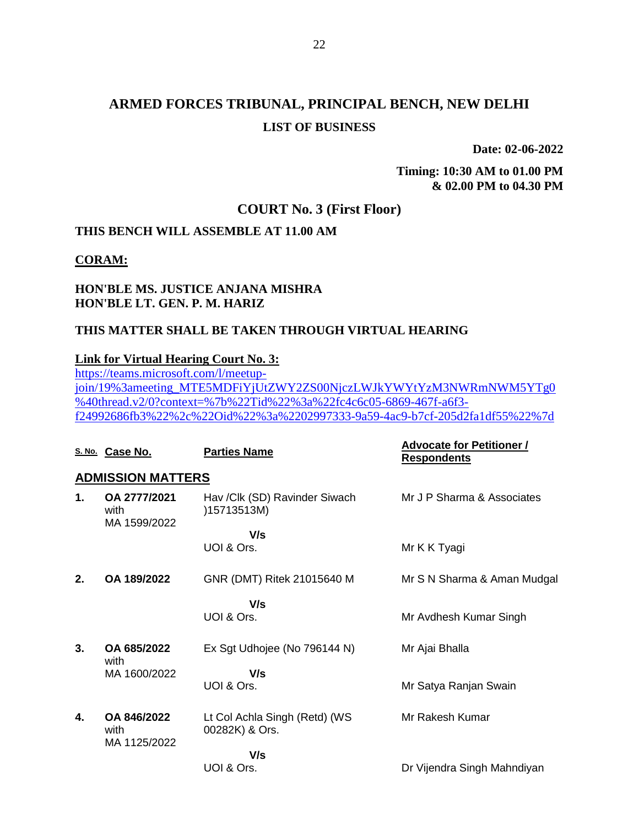**Date: 02-06-2022**

**Timing: 10:30 AM to 01.00 PM & 02.00 PM to 04.30 PM**

### **COURT No. 3 (First Floor)**

### **THIS BENCH WILL ASSEMBLE AT 11.00 AM**

### **CORAM:**

### **HON'BLE MS. JUSTICE ANJANA MISHRA HON'BLE LT. GEN. P. M. HARIZ**

### **THIS MATTER SHALL BE TAKEN THROUGH VIRTUAL HEARING**

### **Link for Virtual Hearing Court No. 3:**

[https://teams.microsoft.com/l/meetup](https://teams.microsoft.com/l/meetup-join/19%3ameeting_MTE5MDFiYjUtZWY2ZS00NjczLWJkYWYtYzM3NWRmNWM5YTg0%40thread.v2/0?context=%7b%22Tid%22%3a%22fc4c6c05-6869-467f-a6f3-f24992686fb3%22%2c%22Oid%22%3a%2202997333-9a59-4ac9-b7cf-205d2fa1df55%22%7d)[join/19%3ameeting\\_MTE5MDFiYjUtZWY2ZS00NjczLWJkYWYtYzM3NWRmNWM5YTg0](https://teams.microsoft.com/l/meetup-join/19%3ameeting_MTE5MDFiYjUtZWY2ZS00NjczLWJkYWYtYzM3NWRmNWM5YTg0%40thread.v2/0?context=%7b%22Tid%22%3a%22fc4c6c05-6869-467f-a6f3-f24992686fb3%22%2c%22Oid%22%3a%2202997333-9a59-4ac9-b7cf-205d2fa1df55%22%7d) [%40thread.v2/0?context=%7b%22Tid%22%3a%22fc4c6c05-6869-467f-a6f3](https://teams.microsoft.com/l/meetup-join/19%3ameeting_MTE5MDFiYjUtZWY2ZS00NjczLWJkYWYtYzM3NWRmNWM5YTg0%40thread.v2/0?context=%7b%22Tid%22%3a%22fc4c6c05-6869-467f-a6f3-f24992686fb3%22%2c%22Oid%22%3a%2202997333-9a59-4ac9-b7cf-205d2fa1df55%22%7d) [f24992686fb3%22%2c%22Oid%22%3a%2202997333-9a59-4ac9-b7cf-205d2fa1df55%22%7d](https://teams.microsoft.com/l/meetup-join/19%3ameeting_MTE5MDFiYjUtZWY2ZS00NjczLWJkYWYtYzM3NWRmNWM5YTg0%40thread.v2/0?context=%7b%22Tid%22%3a%22fc4c6c05-6869-467f-a6f3-f24992686fb3%22%2c%22Oid%22%3a%2202997333-9a59-4ac9-b7cf-205d2fa1df55%22%7d)

|    | S. No. Case No.                      | <b>Parties Name</b>                             | <b>Advocate for Petitioner /</b><br><b>Respondents</b> |
|----|--------------------------------------|-------------------------------------------------|--------------------------------------------------------|
|    | <b>ADMISSION MATTERS</b>             |                                                 |                                                        |
| 1. | OA 2777/2021<br>with<br>MA 1599/2022 | Hav /Clk (SD) Ravinder Siwach<br>)15713513M)    | Mr J P Sharma & Associates                             |
|    |                                      | V/s<br>UOI & Ors.                               | Mr K K Tyagi                                           |
| 2. | OA 189/2022                          | GNR (DMT) Ritek 21015640 M                      | Mr S N Sharma & Aman Mudgal                            |
|    |                                      | V/s<br>UOI & Ors.                               | Mr Avdhesh Kumar Singh                                 |
| 3. | OA 685/2022<br>with                  | Ex Sgt Udhojee (No 796144 N)                    | Mr Ajai Bhalla                                         |
|    | MA 1600/2022                         | V/s<br>UOI & Ors.                               | Mr Satya Ranjan Swain                                  |
| 4. | OA 846/2022<br>with<br>MA 1125/2022  | Lt Col Achla Singh (Retd) (WS<br>00282K) & Ors. | Mr Rakesh Kumar                                        |
|    |                                      | V/s<br>UOI & Ors.                               | Dr Vijendra Singh Mahndiyan                            |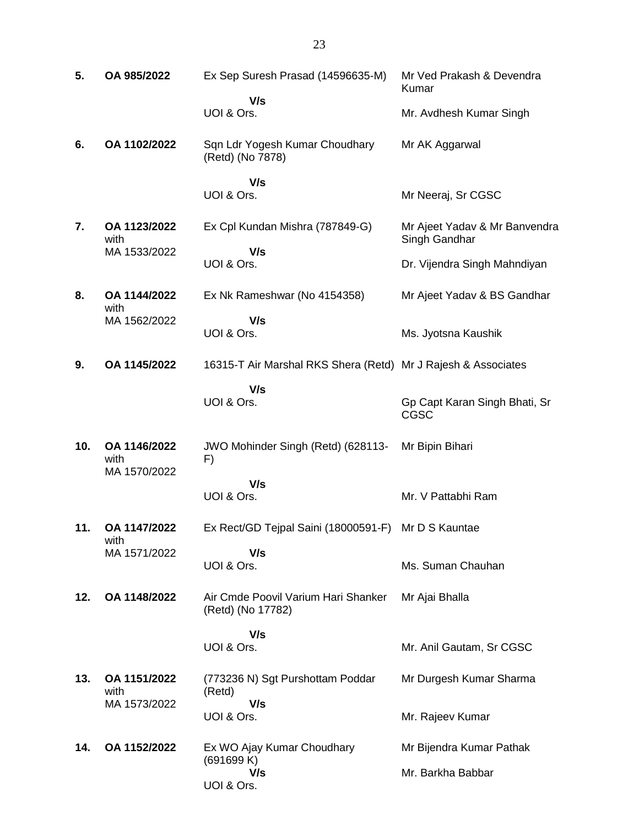| 5.  | OA 985/2022                          | Ex Sep Suresh Prasad (14596635-M)                             | Mr Ved Prakash & Devendra<br>Kumar             |
|-----|--------------------------------------|---------------------------------------------------------------|------------------------------------------------|
|     |                                      | V/s<br>UOI & Ors.                                             | Mr. Avdhesh Kumar Singh                        |
| 6.  | OA 1102/2022                         | Sqn Ldr Yogesh Kumar Choudhary<br>(Retd) (No 7878)            | Mr AK Aggarwal                                 |
|     |                                      | V/s<br>UOI & Ors.                                             | Mr Neeraj, Sr CGSC                             |
| 7.  | OA 1123/2022<br>with                 | Ex Cpl Kundan Mishra (787849-G)                               | Mr Ajeet Yadav & Mr Banvendra<br>Singh Gandhar |
|     | MA 1533/2022                         | V/s<br>UOI & Ors.                                             | Dr. Vijendra Singh Mahndiyan                   |
| 8.  | OA 1144/2022<br>with                 | Ex Nk Rameshwar (No 4154358)                                  | Mr Ajeet Yadav & BS Gandhar                    |
|     | MA 1562/2022                         | V/s<br>UOI & Ors.                                             | Ms. Jyotsna Kaushik                            |
| 9.  | OA 1145/2022                         | 16315-T Air Marshal RKS Shera (Retd) Mr J Rajesh & Associates |                                                |
|     |                                      | V/s<br>UOI & Ors.                                             | Gp Capt Karan Singh Bhati, Sr<br>CGSC          |
| 10. | OA 1146/2022<br>with                 | JWO Mohinder Singh (Retd) (628113-<br>F)                      | Mr Bipin Bihari                                |
|     | MA 1570/2022                         | V/s<br>UOI & Ors.                                             | Mr. V Pattabhi Ram                             |
|     |                                      |                                                               |                                                |
| 11. | OA 1147/2022<br>with<br>MA 1571/2022 | Ex Rect/GD Tejpal Saini (18000591-F)<br>V/s                   | Mr D S Kauntae                                 |
|     |                                      | UOI & Ors.                                                    | Ms. Suman Chauhan                              |
| 12. | OA 1148/2022                         | Air Cmde Poovil Varium Hari Shanker<br>(Retd) (No 17782)      | Mr Ajai Bhalla                                 |
|     |                                      | V/s<br>UOI & Ors.                                             | Mr. Anil Gautam, Sr CGSC                       |
| 13. | OA 1151/2022<br>with                 | (773236 N) Sgt Purshottam Poddar<br>(Retd)                    | Mr Durgesh Kumar Sharma                        |
|     | MA 1573/2022                         | V/s<br>UOI & Ors.                                             | Mr. Rajeev Kumar                               |
| 14. | OA 1152/2022                         | Ex WO Ajay Kumar Choudhary<br>(691699 K)<br>V/s               | Mr Bijendra Kumar Pathak<br>Mr. Barkha Babbar  |
|     |                                      | UOI & Ors.                                                    |                                                |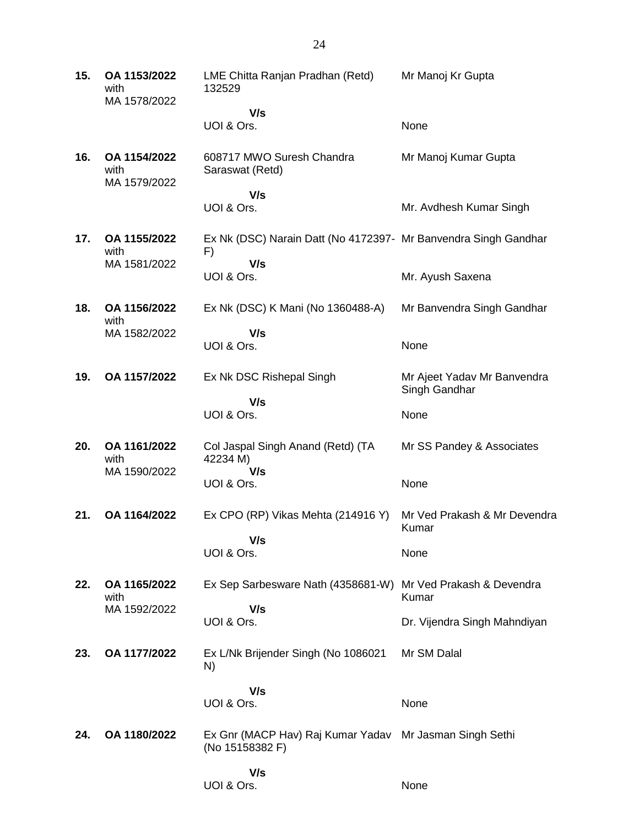| 15. | OA 1153/2022<br>with<br>MA 1578/2022 | LME Chitta Ranjan Pradhan (Retd)<br>132529                                 | Mr Manoj Kr Gupta                            |
|-----|--------------------------------------|----------------------------------------------------------------------------|----------------------------------------------|
|     |                                      | V/s<br>UOI & Ors.                                                          | None                                         |
|     |                                      |                                                                            |                                              |
| 16. | OA 1154/2022<br>with<br>MA 1579/2022 | 608717 MWO Suresh Chandra<br>Saraswat (Retd)                               | Mr Manoj Kumar Gupta                         |
|     |                                      | V/s<br>UOI & Ors.                                                          | Mr. Avdhesh Kumar Singh                      |
| 17. | OA 1155/2022<br>with                 | Ex Nk (DSC) Narain Datt (No 4172397- Mr Banvendra Singh Gandhar<br>F)      |                                              |
|     | MA 1581/2022                         | V/s<br>UOI & Ors.                                                          | Mr. Ayush Saxena                             |
| 18. | OA 1156/2022<br>with                 | Ex Nk (DSC) K Mani (No 1360488-A)                                          | Mr Banvendra Singh Gandhar                   |
|     | MA 1582/2022                         | V/s<br>UOI & Ors.                                                          | None                                         |
| 19. | OA 1157/2022                         | Ex Nk DSC Rishepal Singh                                                   | Mr Ajeet Yadav Mr Banvendra<br>Singh Gandhar |
|     |                                      | V/s<br>UOI & Ors.                                                          | None                                         |
| 20. | OA 1161/2022<br>with                 | Col Jaspal Singh Anand (Retd) (TA<br>42234 M)                              | Mr SS Pandey & Associates                    |
|     | MA 1590/2022                         | V/s<br>UOI & Ors.                                                          | None                                         |
| 21. | OA 1164/2022                         | Ex CPO (RP) Vikas Mehta (214916 Y)                                         | Mr Ved Prakash & Mr Devendra<br>Kumar        |
|     |                                      | V/s<br>UOI & Ors.                                                          | None                                         |
| 22. | OA 1165/2022<br>with                 | Ex Sep Sarbesware Nath (4358681-W)                                         | Mr Ved Prakash & Devendra<br>Kumar           |
|     | MA 1592/2022                         | V/s<br>UOI & Ors.                                                          | Dr. Vijendra Singh Mahndiyan                 |
| 23. | OA 1177/2022                         | Ex L/Nk Brijender Singh (No 1086021<br>N)                                  | Mr SM Dalal                                  |
|     |                                      | V/s<br>UOI & Ors.                                                          | None                                         |
| 24. | OA 1180/2022                         | Ex Gnr (MACP Hav) Raj Kumar Yadav Mr Jasman Singh Sethi<br>(No 15158382 F) |                                              |
|     |                                      | V/s<br>UOI & Ors.                                                          | None                                         |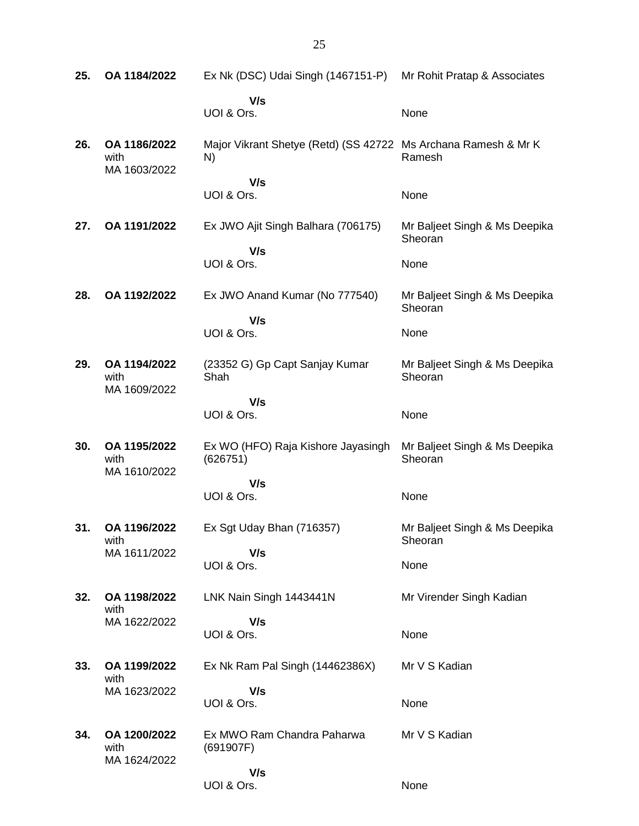| 25. | OA 1184/2022                         | Ex Nk (DSC) Udai Singh (1467151-P)                                    | Mr Rohit Pratap & Associates             |
|-----|--------------------------------------|-----------------------------------------------------------------------|------------------------------------------|
|     |                                      | V/s<br>UOI & Ors.                                                     | None                                     |
| 26. | OA 1186/2022<br>with<br>MA 1603/2022 | Major Vikrant Shetye (Retd) (SS 42722 Ms Archana Ramesh & Mr K)<br>N) | Ramesh                                   |
|     |                                      | V/s<br>UOI & Ors.                                                     | None                                     |
| 27. | OA 1191/2022                         | Ex JWO Ajit Singh Balhara (706175)                                    | Mr Baljeet Singh & Ms Deepika<br>Sheoran |
|     |                                      | V/s<br>UOI & Ors.                                                     | None                                     |
| 28. | OA 1192/2022                         | Ex JWO Anand Kumar (No 777540)                                        | Mr Baljeet Singh & Ms Deepika<br>Sheoran |
|     |                                      | V/s<br>UOI & Ors.                                                     | None                                     |
| 29. | OA 1194/2022<br>with<br>MA 1609/2022 | (23352 G) Gp Capt Sanjay Kumar<br>Shah                                | Mr Baljeet Singh & Ms Deepika<br>Sheoran |
|     |                                      | V/s<br>UOI & Ors.                                                     | None                                     |
| 30. | OA 1195/2022<br>with<br>MA 1610/2022 | Ex WO (HFO) Raja Kishore Jayasingh<br>(626751)                        | Mr Baljeet Singh & Ms Deepika<br>Sheoran |
|     |                                      | V/s<br>UOI & Ors.                                                     | None                                     |
| 31. | OA 1196/2022<br>with                 | Ex Sgt Uday Bhan (716357)                                             | Mr Baljeet Singh & Ms Deepika<br>Sheoran |
|     | MA 1611/2022                         | V/s<br>UOI & Ors.                                                     | None                                     |
| 32. | OA 1198/2022<br>with                 | LNK Nain Singh 1443441N                                               | Mr Virender Singh Kadian                 |
|     | MA 1622/2022                         | V/s<br>UOI & Ors.                                                     | None                                     |
| 33. | OA 1199/2022<br>with                 | Ex Nk Ram Pal Singh (14462386X)                                       | Mr V S Kadian                            |
|     | MA 1623/2022                         | V/s<br>UOI & Ors.                                                     | None                                     |
| 34. | OA 1200/2022<br>with<br>MA 1624/2022 | Ex MWO Ram Chandra Paharwa<br>(691907F)                               | Mr V S Kadian                            |
|     |                                      | V/s<br>UOI & Ors.                                                     | None                                     |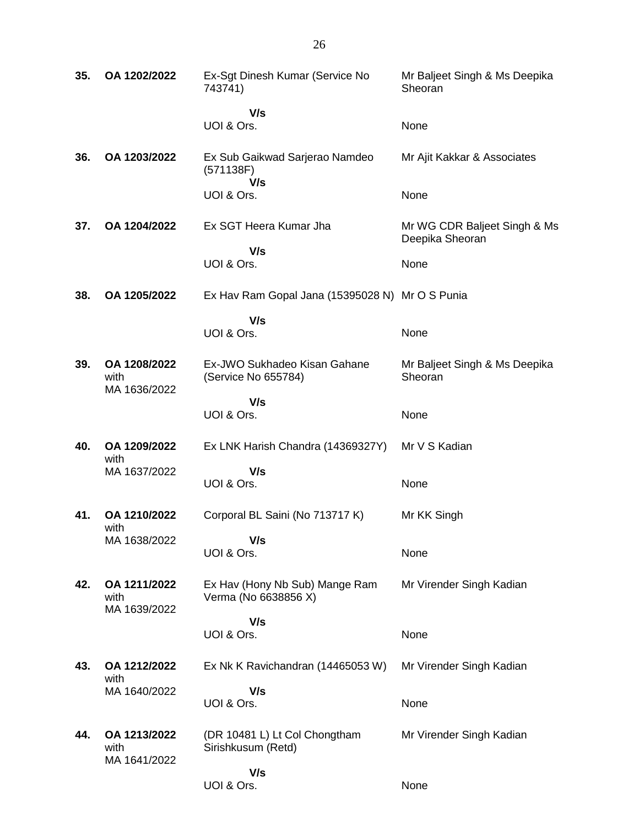| 35. | OA 1202/2022                         | Ex-Sgt Dinesh Kumar (Service No<br>743741)             | Mr Baljeet Singh & Ms Deepika<br>Sheoran        |
|-----|--------------------------------------|--------------------------------------------------------|-------------------------------------------------|
|     |                                      | V/s<br>UOI & Ors.                                      | None                                            |
| 36. | OA 1203/2022                         | Ex Sub Gaikwad Sarjerao Namdeo<br>(571138F)            | Mr Ajit Kakkar & Associates                     |
|     |                                      | V/s<br>UOI & Ors.                                      | None                                            |
| 37. | OA 1204/2022                         | Ex SGT Heera Kumar Jha                                 | Mr WG CDR Baljeet Singh & Ms<br>Deepika Sheoran |
|     |                                      | V/s<br>UOI & Ors.                                      | None                                            |
| 38. | OA 1205/2022                         | Ex Hav Ram Gopal Jana (15395028 N) Mr O S Punia        |                                                 |
|     |                                      | V/s<br>UOI & Ors.                                      | None                                            |
| 39. | OA 1208/2022<br>with<br>MA 1636/2022 | Ex-JWO Sukhadeo Kisan Gahane<br>(Service No 655784)    | Mr Baljeet Singh & Ms Deepika<br>Sheoran        |
|     |                                      | V/s<br>UOI & Ors.                                      | None                                            |
| 40. | OA 1209/2022<br>with                 | Ex LNK Harish Chandra (14369327Y)                      | Mr V S Kadian                                   |
|     | MA 1637/2022                         | V/s<br>UOI & Ors.                                      | None                                            |
| 41. | OA 1210/2022<br>with                 | Corporal BL Saini (No 713717 K)                        | Mr KK Singh                                     |
|     | MA 1638/2022                         | V/s<br>UOI & Ors.                                      | None                                            |
| 42. | OA 1211/2022<br>with<br>MA 1639/2022 | Ex Hav (Hony Nb Sub) Mange Ram<br>Verma (No 6638856 X) | Mr Virender Singh Kadian                        |
|     |                                      | V/s<br>UOI & Ors.                                      | None                                            |
| 43. | OA 1212/2022<br>with                 | Ex Nk K Ravichandran (14465053 W)                      | Mr Virender Singh Kadian                        |
|     | MA 1640/2022                         | V/s<br>UOI & Ors.                                      | None                                            |
| 44. | OA 1213/2022<br>with<br>MA 1641/2022 | (DR 10481 L) Lt Col Chongtham<br>Sirishkusum (Retd)    | Mr Virender Singh Kadian                        |
|     |                                      | V/s<br>UOI & Ors.                                      | None                                            |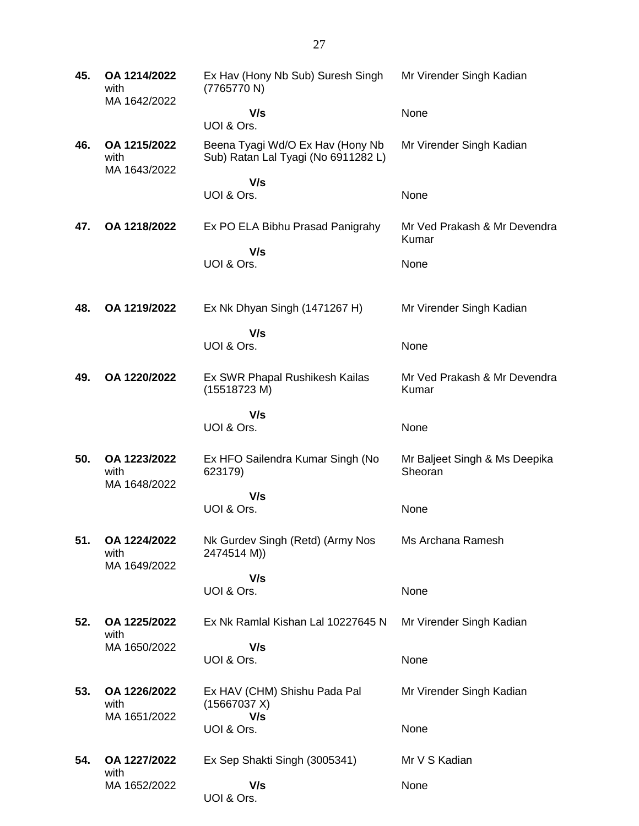| 45. | OA 1214/2022<br>with<br>MA 1642/2022 | Ex Hav (Hony Nb Sub) Suresh Singh<br>(7765770 N)                        | Mr Virender Singh Kadian                 |
|-----|--------------------------------------|-------------------------------------------------------------------------|------------------------------------------|
|     |                                      | V/s<br>UOI & Ors.                                                       | None                                     |
| 46. | OA 1215/2022<br>with<br>MA 1643/2022 | Beena Tyagi Wd/O Ex Hav (Hony Nb<br>Sub) Ratan Lal Tyagi (No 6911282 L) | Mr Virender Singh Kadian                 |
|     |                                      | V/s<br>UOI & Ors.                                                       | None                                     |
| 47. | OA 1218/2022                         | Ex PO ELA Bibhu Prasad Panigrahy                                        | Mr Ved Prakash & Mr Devendra<br>Kumar    |
|     |                                      | V/s<br>UOI & Ors.                                                       | None                                     |
| 48. | OA 1219/2022                         | Ex Nk Dhyan Singh (1471267 H)                                           | Mr Virender Singh Kadian                 |
|     |                                      | V/s<br>UOI & Ors.                                                       | None                                     |
| 49. | OA 1220/2022                         | Ex SWR Phapal Rushikesh Kailas<br>(15518723 M)                          | Mr Ved Prakash & Mr Devendra<br>Kumar    |
|     |                                      | V/s<br>UOI & Ors.                                                       | None                                     |
| 50. | OA 1223/2022<br>with<br>MA 1648/2022 | Ex HFO Sailendra Kumar Singh (No<br>623179)                             | Mr Baljeet Singh & Ms Deepika<br>Sheoran |
|     |                                      | V/s<br>UOI & Ors.                                                       | None                                     |
| 51. | OA 1224/2022<br>with<br>MA 1649/2022 | Nk Gurdev Singh (Retd) (Army Nos<br>2474514 M))                         | Ms Archana Ramesh                        |
|     |                                      | V/s<br>UOI & Ors.                                                       | None                                     |
| 52. | OA 1225/2022<br>with                 | Ex Nk Ramlal Kishan Lal 10227645 N                                      | Mr Virender Singh Kadian                 |
|     | MA 1650/2022                         | V/s<br>UOI & Ors.                                                       | None                                     |
| 53. | OA 1226/2022<br>with                 | Ex HAV (CHM) Shishu Pada Pal<br>(15667037 X)                            | Mr Virender Singh Kadian                 |
|     | MA 1651/2022                         | V/s<br>UOI & Ors.                                                       | None                                     |
| 54. | OA 1227/2022                         | Ex Sep Shakti Singh (3005341)                                           | Mr V S Kadian                            |
|     | with<br>MA 1652/2022                 | V/s<br>UOI & Ors.                                                       | None                                     |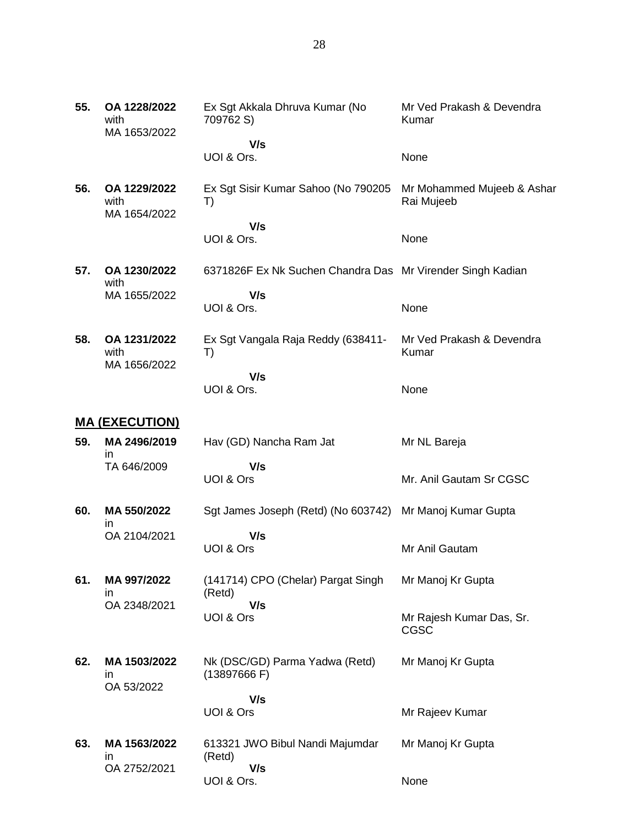| 55. | OA 1228/2022<br>with<br>MA 1653/2022 | Ex Sgt Akkala Dhruva Kumar (No<br>709762 S)                | Mr Ved Prakash & Devendra<br>Kumar       |
|-----|--------------------------------------|------------------------------------------------------------|------------------------------------------|
|     |                                      | V/s                                                        |                                          |
|     |                                      | UOI & Ors.                                                 | None                                     |
| 56. | OA 1229/2022<br>with<br>MA 1654/2022 | Ex Sgt Sisir Kumar Sahoo (No 790205<br>T)                  | Mr Mohammed Mujeeb & Ashar<br>Rai Mujeeb |
|     |                                      | V/s<br>UOI & Ors.                                          | None                                     |
| 57. | OA 1230/2022<br>with                 | 6371826F Ex Nk Suchen Chandra Das Mr Virender Singh Kadian |                                          |
|     | MA 1655/2022                         | V/s<br>UOI & Ors.                                          | None                                     |
| 58. | OA 1231/2022<br>with                 | Ex Sgt Vangala Raja Reddy (638411-<br>T)                   | Mr Ved Prakash & Devendra<br>Kumar       |
|     | MA 1656/2022                         | V/s                                                        |                                          |
|     |                                      | UOI & Ors.                                                 | None                                     |
|     | <u>MA (EXECUTION)</u>                |                                                            |                                          |
| 59. | MA 2496/2019<br>in                   | Hav (GD) Nancha Ram Jat                                    | Mr NL Bareja                             |
|     | TA 646/2009                          | V/s<br>UOI & Ors                                           | Mr. Anil Gautam Sr CGSC                  |
| 60. | MA 550/2022<br>ın                    | Sgt James Joseph (Retd) (No 603742)                        | Mr Manoj Kumar Gupta                     |
|     | OA 2104/2021                         | V/s<br>UOI & Ors                                           | Mr Anil Gautam                           |
| 61. | MA 997/2022<br>in                    | (141714) CPO (Chelar) Pargat Singh<br>(Retd)               | Mr Manoj Kr Gupta                        |
|     | OA 2348/2021                         | V/s<br>UOI & Ors                                           | Mr Rajesh Kumar Das, Sr.<br>CGSC         |
| 62. | MA 1503/2022<br>in                   | Nk (DSC/GD) Parma Yadwa (Retd)<br>(13897666 F)             | Mr Manoj Kr Gupta                        |
|     | OA 53/2022                           | V/s                                                        |                                          |
|     |                                      | UOI & Ors                                                  | Mr Rajeev Kumar                          |
| 63. | MA 1563/2022<br>ın<br>OA 2752/2021   | 613321 JWO Bibul Nandi Majumdar<br>(Retd)<br>V/s           | Mr Manoj Kr Gupta                        |
|     |                                      |                                                            |                                          |

None

UOI & Ors.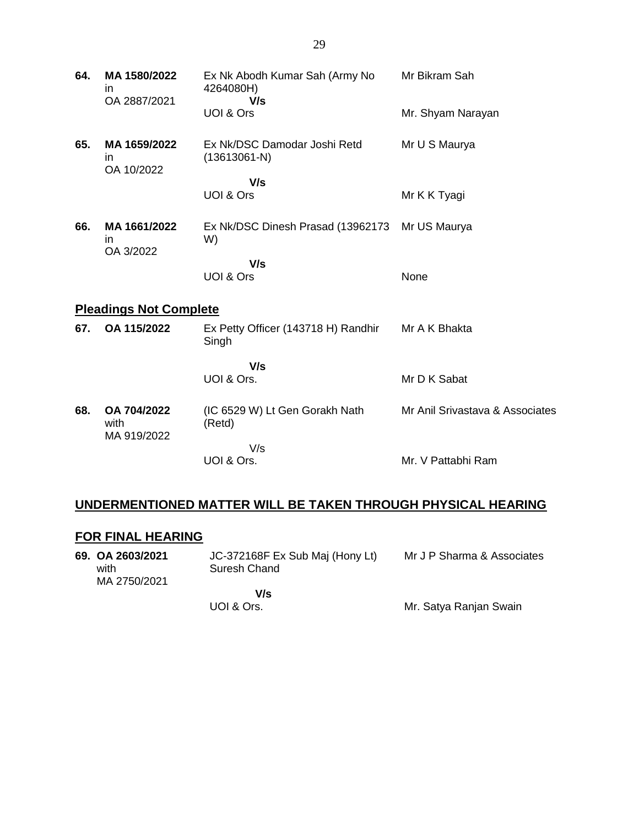| 64. | MA 1580/2022<br>in.<br>OA 2887/2021        | Ex Nk Abodh Kumar Sah (Army No<br>4264080H)<br>V/s | Mr Bikram Sah                   |
|-----|--------------------------------------------|----------------------------------------------------|---------------------------------|
|     |                                            | UOI & Ors                                          | Mr. Shyam Narayan               |
| 65. | MA 1659/2022<br>$\mathsf{I}$<br>OA 10/2022 | Ex Nk/DSC Damodar Joshi Retd<br>$(13613061-N)$     | Mr U S Maurya                   |
|     |                                            | V/s<br>UOI & Ors                                   | Mr K K Tyagi                    |
| 66. | MA 1661/2022<br>in.<br>OA 3/2022           | Ex Nk/DSC Dinesh Prasad (13962173<br>W)            | Mr US Maurya                    |
|     |                                            | V/s<br>UOI & Ors                                   |                                 |
|     |                                            |                                                    | None                            |
|     | <b>Pleadings Not Complete</b>              |                                                    |                                 |
| 67. | OA 115/2022                                | Ex Petty Officer (143718 H) Randhir<br>Singh       | Mr A K Bhakta                   |
|     |                                            | V/s<br>UOI & Ors.                                  | Mr D K Sabat                    |
| 68. | OA 704/2022<br>with<br>MA 919/2022         | (IC 6529 W) Lt Gen Gorakh Nath<br>(Retd)           | Mr Anil Srivastava & Associates |
|     |                                            | V/s<br>UOI & Ors.                                  | Mr. V Pattabhi Ram              |

## **UNDERMENTIONED MATTER WILL BE TAKEN THROUGH PHYSICAL HEARING**

## **FOR FINAL HEARING**

| 69. OA 2603/2021<br>with | JC-372168F Ex Sub Maj (Hony Lt)<br>Suresh Chand<br>MA 2750/2021 | Mr J P Sharma & Associates |
|--------------------------|-----------------------------------------------------------------|----------------------------|
|                          | V/s<br>UOI & Ors.                                               | Mr. Satya Ranjan Swain     |